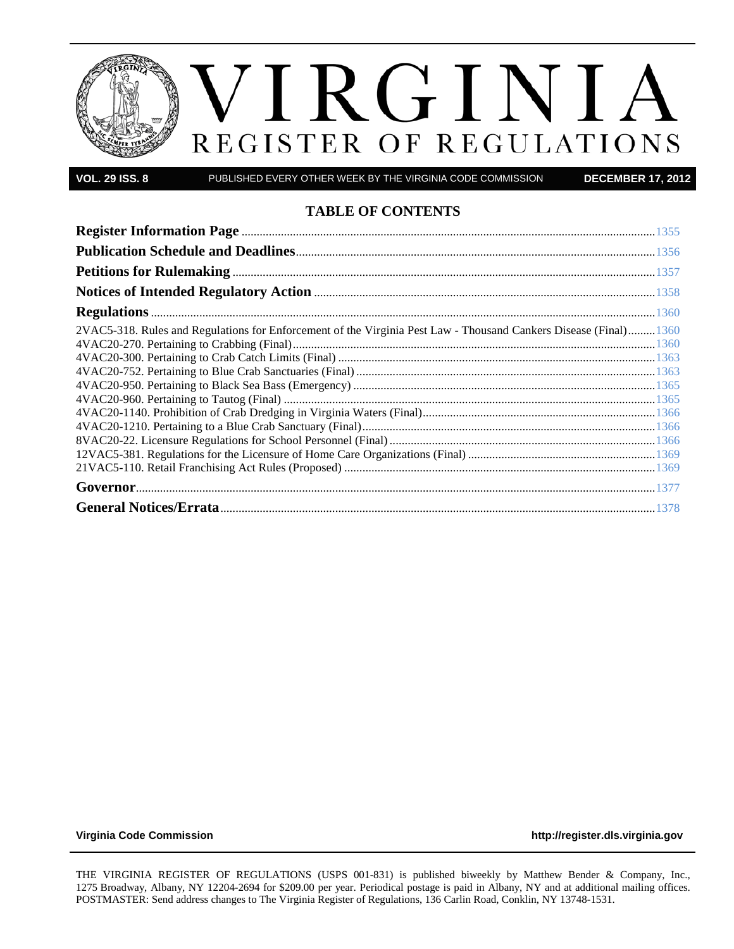

**VOL. 29 ISS. 8** PUBLISHED EVERY OTHER WEEK BY THE VIRGINIA CODE COMMISSION **DECEMBER 17, 2012**

# **TABLE OF CONTENTS**

| 2VAC5-318. Rules and Regulations for Enforcement of the Virginia Pest Law - Thousand Cankers Disease (Final)1360 |  |
|------------------------------------------------------------------------------------------------------------------|--|
|                                                                                                                  |  |
|                                                                                                                  |  |
|                                                                                                                  |  |
|                                                                                                                  |  |
|                                                                                                                  |  |
|                                                                                                                  |  |
|                                                                                                                  |  |

**[Virginia Code Commission](http://register.dls.virginia.gov/) [http://register.dls.virginia.gov](http://register.dls.virginia.gov/)**

THE VIRGINIA REGISTER OF REGULATIONS (USPS 001-831) is published biweekly by Matthew Bender & Company, Inc., 1275 Broadway, Albany, NY 12204-2694 for \$209.00 per year. Periodical postage is paid in Albany, NY and at additional mailing offices. POSTMASTER: Send address changes to The Virginia Register of Regulations, 136 Carlin Road, Conklin, NY 13748-1531.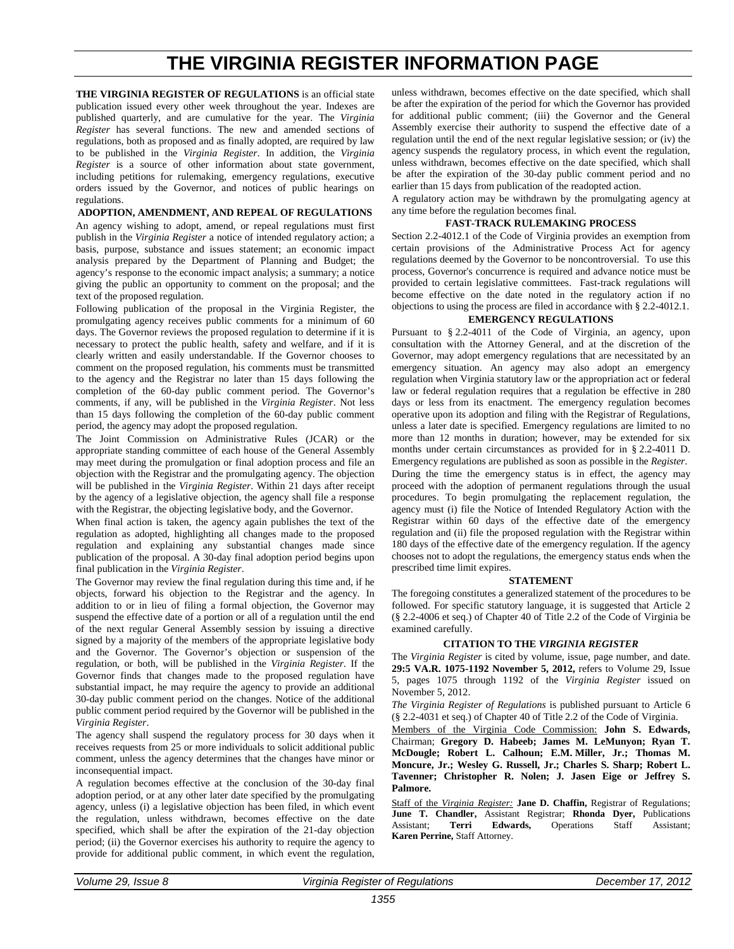# **THE VIRGINIA REGISTER INFORMATION PAGE**

<span id="page-2-0"></span>**THE VIRGINIA REGISTER OF REGULATIONS** is an official state publication issued every other week throughout the year. Indexes are published quarterly, and are cumulative for the year. The *Virginia Register* has several functions. The new and amended sections of regulations, both as proposed and as finally adopted, are required by law to be published in the *Virginia Register*. In addition, the *Virginia Register* is a source of other information about state government, including petitions for rulemaking, emergency regulations, executive orders issued by the Governor, and notices of public hearings on regulations.

#### **ADOPTION, AMENDMENT, AND REPEAL OF REGULATIONS**

An agency wishing to adopt, amend, or repeal regulations must first publish in the *Virginia Register* a notice of intended regulatory action; a basis, purpose, substance and issues statement; an economic impact analysis prepared by the Department of Planning and Budget; the agency's response to the economic impact analysis; a summary; a notice giving the public an opportunity to comment on the proposal; and the text of the proposed regulation.

Following publication of the proposal in the Virginia Register, the promulgating agency receives public comments for a minimum of 60 days. The Governor reviews the proposed regulation to determine if it is necessary to protect the public health, safety and welfare, and if it is clearly written and easily understandable. If the Governor chooses to comment on the proposed regulation, his comments must be transmitted to the agency and the Registrar no later than 15 days following the completion of the 60-day public comment period. The Governor's comments, if any, will be published in the *Virginia Register*. Not less than 15 days following the completion of the 60-day public comment period, the agency may adopt the proposed regulation.

The Joint Commission on Administrative Rules (JCAR) or the appropriate standing committee of each house of the General Assembly may meet during the promulgation or final adoption process and file an objection with the Registrar and the promulgating agency. The objection will be published in the *Virginia Register*. Within 21 days after receipt by the agency of a legislative objection, the agency shall file a response with the Registrar, the objecting legislative body, and the Governor.

When final action is taken, the agency again publishes the text of the regulation as adopted, highlighting all changes made to the proposed regulation and explaining any substantial changes made since publication of the proposal. A 30-day final adoption period begins upon final publication in the *Virginia Register*.

The Governor may review the final regulation during this time and, if he objects, forward his objection to the Registrar and the agency. In addition to or in lieu of filing a formal objection, the Governor may suspend the effective date of a portion or all of a regulation until the end of the next regular General Assembly session by issuing a directive signed by a majority of the members of the appropriate legislative body and the Governor. The Governor's objection or suspension of the regulation, or both, will be published in the *Virginia Register*. If the Governor finds that changes made to the proposed regulation have substantial impact, he may require the agency to provide an additional 30-day public comment period on the changes. Notice of the additional public comment period required by the Governor will be published in the *Virginia Register*.

The agency shall suspend the regulatory process for 30 days when it receives requests from 25 or more individuals to solicit additional public comment, unless the agency determines that the changes have minor or inconsequential impact.

A regulation becomes effective at the conclusion of the 30-day final adoption period, or at any other later date specified by the promulgating agency, unless (i) a legislative objection has been filed, in which event the regulation, unless withdrawn, becomes effective on the date specified, which shall be after the expiration of the 21-day objection period; (ii) the Governor exercises his authority to require the agency to provide for additional public comment, in which event the regulation, unless withdrawn, becomes effective on the date specified, which shall be after the expiration of the period for which the Governor has provided for additional public comment; (iii) the Governor and the General Assembly exercise their authority to suspend the effective date of a regulation until the end of the next regular legislative session; or (iv) the agency suspends the regulatory process, in which event the regulation, unless withdrawn, becomes effective on the date specified, which shall be after the expiration of the 30-day public comment period and no earlier than 15 days from publication of the readopted action.

A regulatory action may be withdrawn by the promulgating agency at any time before the regulation becomes final.

#### **FAST-TRACK RULEMAKING PROCESS**

Section 2.2-4012.1 of the Code of Virginia provides an exemption from certain provisions of the Administrative Process Act for agency regulations deemed by the Governor to be noncontroversial. To use this process, Governor's concurrence is required and advance notice must be provided to certain legislative committees. Fast-track regulations will become effective on the date noted in the regulatory action if no objections to using the process are filed in accordance with § 2.2-4012.1.

### **EMERGENCY REGULATIONS**

Pursuant to § [2.2-4011](http://leg1.state.va.us/cgi-bin/legp504.exe?000+cod+2.2-4011) of the Code of Virginia, an agency, upon consultation with the Attorney General, and at the discretion of the Governor, may adopt emergency regulations that are necessitated by an emergency situation. An agency may also adopt an emergency regulation when Virginia statutory law or the appropriation act or federal law or federal regulation requires that a regulation be effective in 280 days or less from its enactment. The emergency regulation becomes operative upon its adoption and filing with the Registrar of Regulations, unless a later date is specified. Emergency regulations are limited to no more than 12 months in duration; however, may be extended for six months under certain circumstances as provided for in § 2.2-4011 D. Emergency regulations are published as soon as possible in the *Register*. During the time the emergency status is in effect, the agency may proceed with the adoption of permanent regulations through the usual procedures. To begin promulgating the replacement regulation, the agency must (i) file the Notice of Intended Regulatory Action with the Registrar within 60 days of the effective date of the emergency regulation and (ii) file the proposed regulation with the Registrar within 180 days of the effective date of the emergency regulation. If the agency chooses not to adopt the regulations, the emergency status ends when the prescribed time limit expires.

#### **STATEMENT**

The foregoing constitutes a generalized statement of the procedures to be followed. For specific statutory language, it is suggested that Article 2 (§ 2.2-4006 et seq.) of Chapter 40 of Title 2.2 of the Code of Virginia be examined carefully.

#### **CITATION TO THE** *VIRGINIA REGISTER*

The *Virginia Register* is cited by volume, issue, page number, and date. **29:5 VA.R. 1075-1192 November 5, 2012,** refers to Volume 29, Issue 5, pages 1075 through 1192 of the *Virginia Register* issued on November 5, 2012.

*The Virginia Register of Regulations* is published pursuant to Article 6 (§ 2.2-4031 et seq.) of Chapter 40 of Title 2.2 of the Code of Virginia.

Members of the Virginia Code Commission: **John S. Edwards,**  Chairman; **Gregory D. Habeeb; James M. LeMunyon; Ryan T. McDougle; Robert L. Calhoun; E.M. Miller, Jr.; Thomas M. Moncure, Jr.; Wesley G. Russell, Jr.; Charles S. Sharp; Robert L. Tavenner; Christopher R. Nolen; J. Jasen Eige or Jeffrey S. Palmore.**

Staff of the *Virginia Register:* **Jane D. Chaffin,** Registrar of Regulations; **June T. Chandler,** Assistant Registrar; **Rhonda Dyer,** Publications Assistant; **Terri Edwards,** Operations Staff Assistant; **Karen Perrine,** Staff Attorney.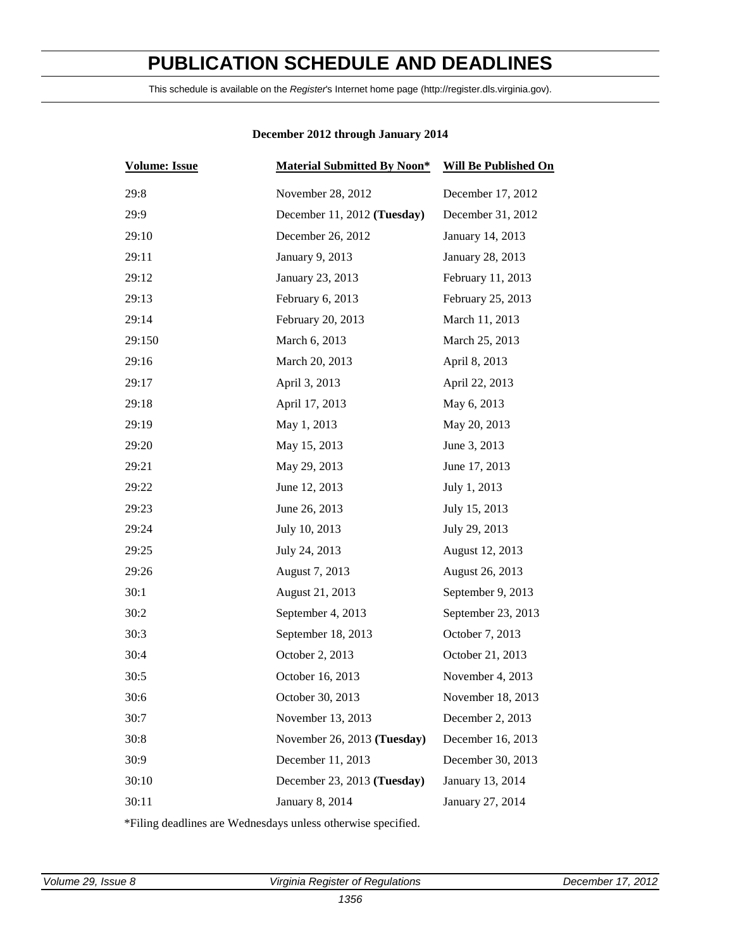# <span id="page-3-0"></span>**PUBLICATION SCHEDULE AND DEADLINES**

This schedule is available on the *Register*'s Internet home page (http://register.dls.virginia.gov).

| <b>Volume: Issue</b> | <b>Material Submitted By Noon*</b> | <b>Will Be Published On</b> |
|----------------------|------------------------------------|-----------------------------|
| 29:8                 | November 28, 2012                  | December 17, 2012           |
| 29:9                 | December 11, 2012 (Tuesday)        | December 31, 2012           |
| 29:10                | December 26, 2012                  | January 14, 2013            |
| 29:11                | January 9, 2013                    | January 28, 2013            |
| 29:12                | January 23, 2013                   | February 11, 2013           |
| 29:13                | February 6, 2013                   | February 25, 2013           |
| 29:14                | February 20, 2013                  | March 11, 2013              |
| 29:150               | March 6, 2013                      | March 25, 2013              |
| 29:16                | March 20, 2013                     | April 8, 2013               |
| 29:17                | April 3, 2013                      | April 22, 2013              |
| 29:18                | April 17, 2013                     | May 6, 2013                 |
| 29:19                | May 1, 2013                        | May 20, 2013                |
| 29:20                | May 15, 2013                       | June 3, 2013                |
| 29:21                | May 29, 2013                       | June 17, 2013               |
| 29:22                | June 12, 2013                      | July 1, 2013                |
| 29:23                | June 26, 2013                      | July 15, 2013               |
| 29:24                | July 10, 2013                      | July 29, 2013               |
| 29:25                | July 24, 2013                      | August 12, 2013             |
| 29:26                | August 7, 2013                     | August 26, 2013             |
| 30:1                 | August 21, 2013                    | September 9, 2013           |
| 30:2                 | September 4, 2013                  | September 23, 2013          |
| 30:3                 | September 18, 2013                 | October 7, 2013             |
| 30:4                 | October 2, 2013                    | October 21, 2013            |
| 30:5                 | October 16, 2013                   | November 4, 2013            |
| 30:6                 | October 30, 2013                   | November 18, 2013           |
| 30:7                 | November 13, 2013                  | December 2, 2013            |
| 30:8                 | November 26, 2013 (Tuesday)        | December 16, 2013           |
| 30:9                 | December 11, 2013                  | December 30, 2013           |
| 30:10                | December 23, 2013 (Tuesday)        | January 13, 2014            |
| 30:11                | January 8, 2014                    | January 27, 2014            |

# **December 2012 through January 2014**

\*Filing deadlines are Wednesdays unless otherwise specified.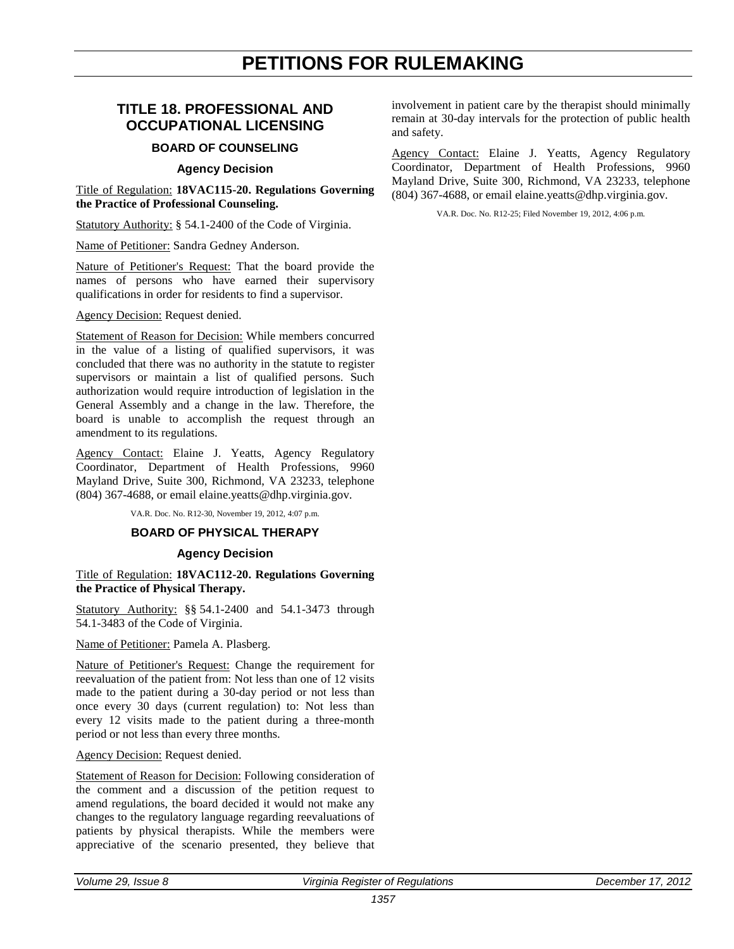# **PETITIONS FOR RULEMAKING**

# <span id="page-4-0"></span>**TITLE 18. PROFESSIONAL AND OCCUPATIONAL LICENSING**

# **BOARD OF COUNSELING**

# **Agency Decision**

Title of Regulation: **18VAC115-20. Regulations Governing the Practice of Professional Counseling.**

Statutory Authority: § 54.1-2400 of the Code of Virginia.

Name of Petitioner: Sandra Gedney Anderson.

Nature of Petitioner's Request: That the board provide the names of persons who have earned their supervisory qualifications in order for residents to find a supervisor.

# Agency Decision: Request denied.

Statement of Reason for Decision: While members concurred in the value of a listing of qualified supervisors, it was concluded that there was no authority in the statute to register supervisors or maintain a list of qualified persons. Such authorization would require introduction of legislation in the General Assembly and a change in the law. Therefore, the board is unable to accomplish the request through an amendment to its regulations.

Agency Contact: Elaine J. Yeatts, Agency Regulatory Coordinator, Department of Health Professions, 9960 Mayland Drive, Suite 300, Richmond, VA 23233, telephone (804) 367-4688, or email elaine.yeatts@dhp.virginia.gov.

VA.R. Doc. No. R12-30, November 19, 2012, 4:07 p.m.

### **BOARD OF PHYSICAL THERAPY**

# **Agency Decision**

Title of Regulation: **18VAC112-20. Regulations Governing the Practice of Physical Therapy.**

Statutory Authority: §§ 54.1-2400 and 54.1-3473 through 54.1-3483 of the Code of Virginia.

Name of Petitioner: Pamela A. Plasberg.

Nature of Petitioner's Request: Change the requirement for reevaluation of the patient from: Not less than one of 12 visits made to the patient during a 30-day period or not less than once every 30 days (current regulation) to: Not less than every 12 visits made to the patient during a three-month period or not less than every three months.

### Agency Decision: Request denied.

Statement of Reason for Decision: Following consideration of the comment and a discussion of the petition request to amend regulations, the board decided it would not make any changes to the regulatory language regarding reevaluations of patients by physical therapists. While the members were appreciative of the scenario presented, they believe that involvement in patient care by the therapist should minimally remain at 30-day intervals for the protection of public health and safety.

Agency Contact: Elaine J. Yeatts, Agency Regulatory Coordinator, Department of Health Professions, 9960 Mayland Drive, Suite 300, Richmond, VA 23233, telephone (804) 367-4688, or email elaine.yeatts@dhp.virginia.gov.

VA.R. Doc. No. R12-25; Filed November 19, 2012, 4:06 p.m.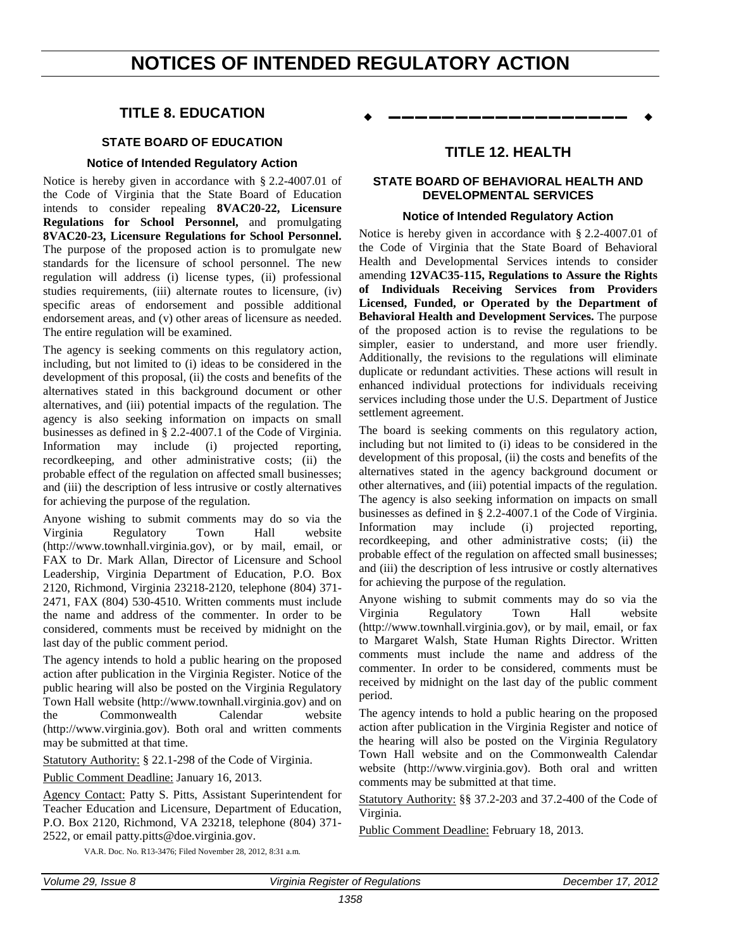# <span id="page-5-0"></span>**NOTICES OF INTENDED REGULATORY ACTION**

# **TITLE 8. EDUCATION**

# **STATE BOARD OF EDUCATION**

# **Notice of Intended Regulatory Action**

Notice is hereby given in accordance with § 2.2-4007.01 of the Code of Virginia that the State Board of Education intends to consider repealing **8VAC20-22, Licensure Regulations for School Personnel,** and promulgating **8VAC20-23, Licensure Regulations for School Personnel.** The purpose of the proposed action is to promulgate new standards for the licensure of school personnel. The new regulation will address (i) license types, (ii) professional studies requirements, (iii) alternate routes to licensure, (iv) specific areas of endorsement and possible additional endorsement areas, and (v) other areas of licensure as needed. The entire regulation will be examined.

The agency is seeking comments on this regulatory action, including, but not limited to (i) ideas to be considered in the development of this proposal, (ii) the costs and benefits of the alternatives stated in this background document or other alternatives, and (iii) potential impacts of the regulation. The agency is also seeking information on impacts on small businesses as defined in § 2.2-4007.1 of the Code of Virginia. Information may include (i) projected reporting, recordkeeping, and other administrative costs; (ii) the probable effect of the regulation on affected small businesses; and (iii) the description of less intrusive or costly alternatives for achieving the purpose of the regulation.

Anyone wishing to submit comments may do so via the Virginia Regulatory Town Hall website (http://www.townhall.virginia.gov), or by mail, email, or FAX to Dr. Mark Allan, Director of Licensure and School Leadership, Virginia Department of Education, P.O. Box 2120, Richmond, Virginia 23218-2120, telephone (804) 371- 2471, FAX (804) 530-4510. Written comments must include the name and address of the commenter. In order to be considered, comments must be received by midnight on the last day of the public comment period.

The agency intends to hold a public hearing on the proposed action after publication in the Virginia Register. Notice of the public hearing will also be posted on the Virginia Regulatory Town Hall website (http://www.townhall.virginia.gov) and on the Commonwealth Calendar website (http://www.virginia.gov). Both oral and written comments may be submitted at that time.

Statutory Authority: § 22.1-298 of the Code of Virginia.

Public Comment Deadline: January 16, 2013.

Agency Contact: Patty S. Pitts, Assistant Superintendent for Teacher Education and Licensure, Department of Education, P.O. Box 2120, Richmond, VA 23218, telephone (804) 371- 2522, or email patty.pitts@doe.virginia.gov.

**––––––––––––––––––**

# **TITLE 12. HEALTH**

# **STATE BOARD OF BEHAVIORAL HEALTH AND DEVELOPMENTAL SERVICES**

### **Notice of Intended Regulatory Action**

Notice is hereby given in accordance with § 2.2-4007.01 of the Code of Virginia that the State Board of Behavioral Health and Developmental Services intends to consider amending **12VAC35-115, Regulations to Assure the Rights of Individuals Receiving Services from Providers Licensed, Funded, or Operated by the Department of Behavioral Health and Development Services.** The purpose of the proposed action is to revise the regulations to be simpler, easier to understand, and more user friendly. Additionally, the revisions to the regulations will eliminate duplicate or redundant activities. These actions will result in enhanced individual protections for individuals receiving services including those under the U.S. Department of Justice settlement agreement.

The board is seeking comments on this regulatory action, including but not limited to (i) ideas to be considered in the development of this proposal, (ii) the costs and benefits of the alternatives stated in the agency background document or other alternatives, and (iii) potential impacts of the regulation. The agency is also seeking information on impacts on small businesses as defined in § 2.2-4007.1 of the Code of Virginia.<br>Information may include (i) projected reporting, include (i) projected reporting, recordkeeping, and other administrative costs; (ii) the probable effect of the regulation on affected small businesses; and (iii) the description of less intrusive or costly alternatives for achieving the purpose of the regulation.

Anyone wishing to submit comments may do so via the Virginia Regulatory Town Hall website (http://www.townhall.virginia.gov), or by mail, email, or fax to Margaret Walsh, State Human Rights Director. Written comments must include the name and address of the commenter. In order to be considered, comments must be received by midnight on the last day of the public comment period.

The agency intends to hold a public hearing on the proposed action after publication in the Virginia Register and notice of the hearing will also be posted on the Virginia Regulatory Town Hall website and on the Commonwealth Calendar website (http://www.virginia.gov). Both oral and written comments may be submitted at that time.

Statutory Authority: §§ 37.2-203 and 37.2-400 of the Code of Virginia.

Public Comment Deadline: February 18, 2013.

VA.R. Doc. No. R13-3476; Filed November 28, 2012, 8:31 a.m.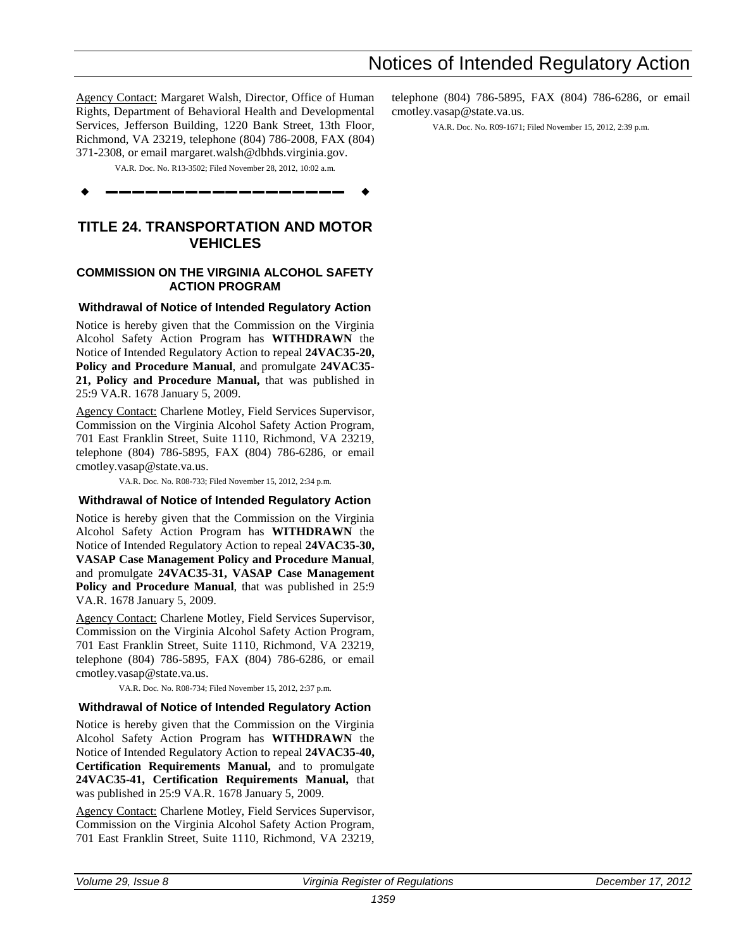cmotley.vasap@state.va.us.

telephone (804) 786-5895, FAX (804) 786-6286, or email

VA.R. Doc. No. R09-1671; Filed November 15, 2012, 2:39 p.m.

Agency Contact: Margaret Walsh, Director, Office of Human Rights, Department of Behavioral Health and Developmental Services, Jefferson Building, 1220 Bank Street, 13th Floor, Richmond, VA 23219, telephone (804) 786-2008, FAX (804) 371-2308, or email margaret.walsh@dbhds.virginia.gov.

VA.R. Doc. No. R13-3502; Filed November 28, 2012, 10:02 a.m.

**––––––––––––––––––**

# **TITLE 24. TRANSPORTATION AND MOTOR VEHICLES**

# **COMMISSION ON THE VIRGINIA ALCOHOL SAFETY ACTION PROGRAM**

### **Withdrawal of Notice of Intended Regulatory Action**

Notice is hereby given that the Commission on the Virginia Alcohol Safety Action Program has **WITHDRAWN** the Notice of Intended Regulatory Action to repeal **24VAC35-20, Policy and Procedure Manual**, and promulgate **24VAC35- 21, Policy and Procedure Manual,** that was published in 25:9 VA.R. 1678 January 5, 2009.

Agency Contact: Charlene Motley, Field Services Supervisor, Commission on the Virginia Alcohol Safety Action Program, 701 East Franklin Street, Suite 1110, Richmond, VA 23219, telephone (804) 786-5895, FAX (804) 786-6286, or email cmotley.vasap@state.va.us.

VA.R. Doc. No. R08-733; Filed November 15, 2012, 2:34 p.m.

# **Withdrawal of Notice of Intended Regulatory Action**

Notice is hereby given that the Commission on the Virginia Alcohol Safety Action Program has **WITHDRAWN** the Notice of Intended Regulatory Action to repeal **24VAC35-30, VASAP Case Management Policy and Procedure Manual**, and promulgate **24VAC35-31, VASAP Case Management Policy and Procedure Manual**, that was published in 25:9 VA.R. 1678 January 5, 2009.

Agency Contact: Charlene Motley, Field Services Supervisor, Commission on the Virginia Alcohol Safety Action Program, 701 East Franklin Street, Suite 1110, Richmond, VA 23219, telephone (804) 786-5895, FAX (804) 786-6286, or email cmotley.vasap@state.va.us.

VA.R. Doc. No. R08-734; Filed November 15, 2012, 2:37 p.m.

#### **Withdrawal of Notice of Intended Regulatory Action**

Notice is hereby given that the Commission on the Virginia Alcohol Safety Action Program has **WITHDRAWN** the Notice of Intended Regulatory Action to repeal **24VAC35-40, Certification Requirements Manual,** and to promulgate **24VAC35-41, Certification Requirements Manual,** that was published in 25:9 VA.R. 1678 January 5, 2009.

Agency Contact: Charlene Motley, Field Services Supervisor, Commission on the Virginia Alcohol Safety Action Program, 701 East Franklin Street, Suite 1110, Richmond, VA 23219,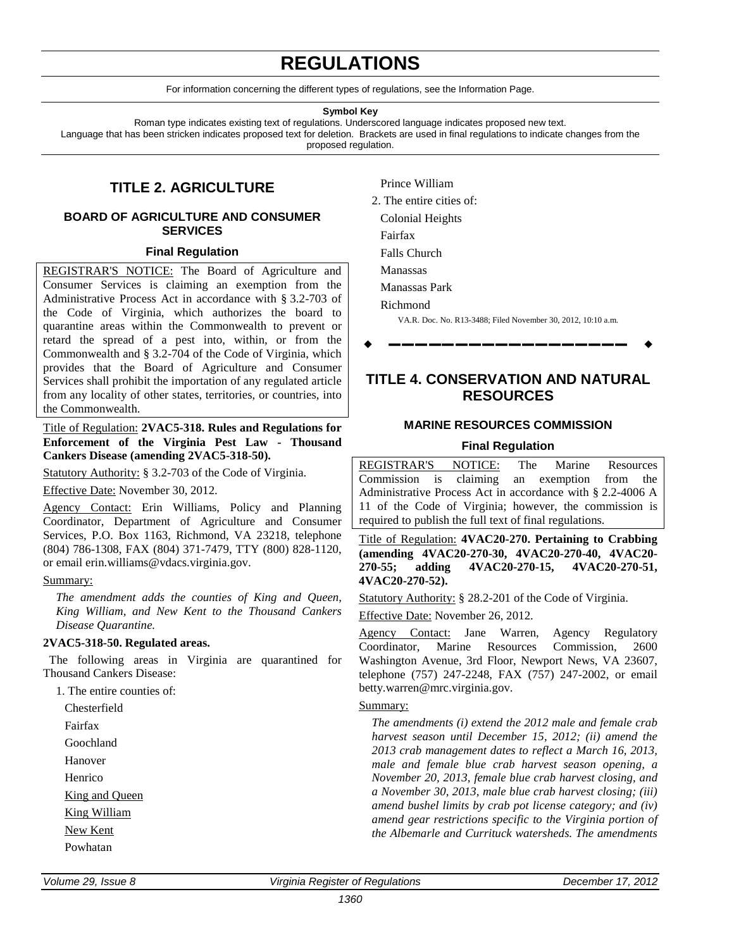# **REGULATIONS**

For information concerning the different types of regulations, see the Information Page.

#### **Symbol Key**

<span id="page-7-0"></span>Roman type indicates existing text of regulations. Underscored language indicates proposed new text. Language that has been stricken indicates proposed text for deletion. Brackets are used in final regulations to indicate changes from the proposed regulation.

# **TITLE 2. AGRICULTURE**

# **BOARD OF AGRICULTURE AND CONSUMER SERVICES**

### **Final Regulation**

REGISTRAR'S NOTICE: The Board of Agriculture and Consumer Services is claiming an exemption from the Administrative Process Act in accordance with § 3.2-703 of the Code of Virginia, which authorizes the board to quarantine areas within the Commonwealth to prevent or retard the spread of a pest into, within, or from the Commonwealth and § 3.2-704 of the Code of Virginia, which provides that the Board of Agriculture and Consumer Services shall prohibit the importation of any regulated article from any locality of other states, territories, or countries, into the Commonwealth.

Title of Regulation: **2VAC5-318. Rules and Regulations for Enforcement of the Virginia Pest Law - Thousand Cankers Disease (amending 2VAC5-318-50).** 

Statutory Authority: § 3.2-703 of the Code of Virginia.

Effective Date: November 30, 2012.

Agency Contact: Erin Williams, Policy and Planning Coordinator, Department of Agriculture and Consumer Services, P.O. Box 1163, Richmond, VA 23218, telephone (804) 786-1308, FAX (804) 371-7479, TTY (800) 828-1120, or email erin.williams@vdacs.virginia.gov.

### Summary:

*The amendment adds the counties of King and Queen, King William, and New Kent to the Thousand Cankers Disease Quarantine.*

### **2VAC5-318-50. Regulated areas.**

The following areas in Virginia are quarantined for Thousand Cankers Disease:

1. The entire counties of:

Chesterfield Fairfax Goochland Hanover Henrico King and Queen King William New Kent

Prince William

2. The entire cities of: Colonial Heights

Fairfax

Falls Church

Manassas

Manassas Park

Richmond

VA.R. Doc. No. R13-3488; Filed November 30, 2012, 10:10 a.m.

**––––––––––––––––––**

# **TITLE 4. CONSERVATION AND NATURAL RESOURCES**

# **MARINE RESOURCES COMMISSION**

# **Final Regulation**

REGISTRAR'S NOTICE: The Marine Resources Commission is claiming an exemption from the Administrative Process Act in accordance with § 2.2-4006 A 11 of the Code of Virginia; however, the commission is required to publish the full text of final regulations.

Title of Regulation: **4VAC20-270. Pertaining to Crabbing (amending 4VAC20-270-30, 4VAC20-270-40, 4VAC20- 270-55; adding 4VAC20-270-15, 4VAC20-270-51, 4VAC20-270-52).** 

Statutory Authority: § 28.2-201 of the Code of Virginia.

Effective Date: November 26, 2012.

Agency Contact: Jane Warren, Agency Regulatory<br>Coordinator, Marine Resources Commission, 2600 Coordinator, Marine Resources Commission, 2600 Washington Avenue, 3rd Floor, Newport News, VA 23607, telephone (757) 247-2248, FAX (757) 247-2002, or email betty.warren@mrc.virginia.gov.

# Summary:

*The amendments (i) extend the 2012 male and female crab harvest season until December 15, 2012; (ii) amend the 2013 crab management dates to reflect a March 16, 2013, male and female blue crab harvest season opening, a November 20, 2013, female blue crab harvest closing, and a November 30, 2013, male blue crab harvest closing; (iii) amend bushel limits by crab pot license category; and (iv) amend gear restrictions specific to the Virginia portion of the Albemarle and Currituck watersheds. The amendments* 

Powhatan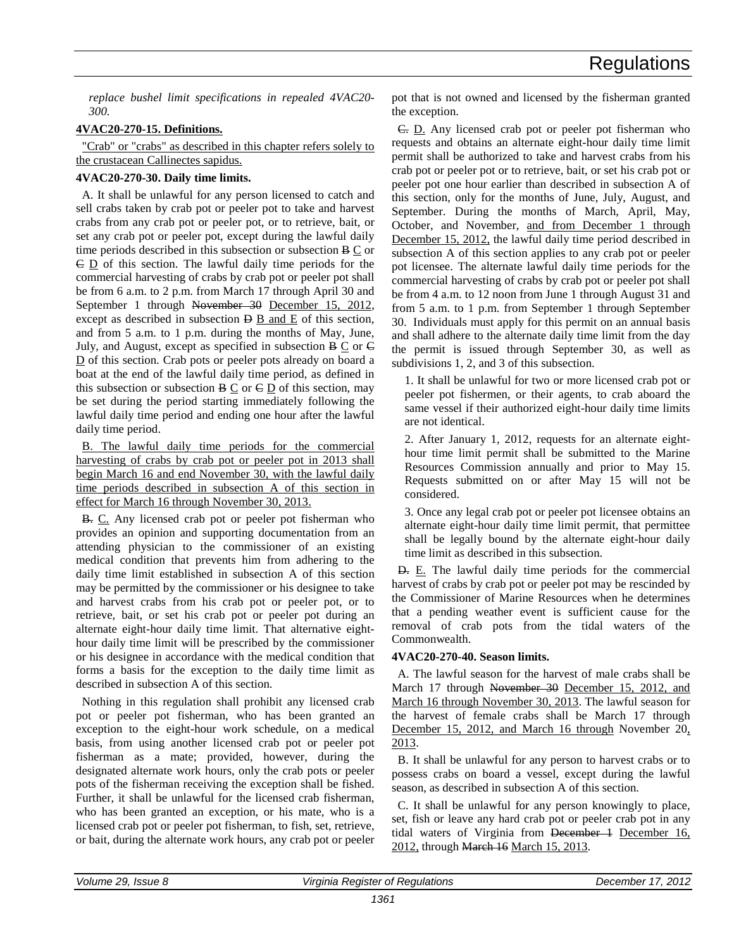*replace bushel limit specifications in repealed 4VAC20- 300.*

# **4VAC20-270-15. Definitions.**

"Crab" or "crabs" as described in this chapter refers solely to the crustacean Callinectes sapidus.

# **4VAC20-270-30. Daily time limits.**

A. It shall be unlawful for any person licensed to catch and sell crabs taken by crab pot or peeler pot to take and harvest crabs from any crab pot or peeler pot, or to retrieve, bait, or set any crab pot or peeler pot, except during the lawful daily time periods described in this subsection or subsection B C or  $\overline{C}$   $\overline{D}$  of this section. The lawful daily time periods for the commercial harvesting of crabs by crab pot or peeler pot shall be from 6 a.m. to 2 p.m. from March 17 through April 30 and September 1 through November 30 December 15, 2012, except as described in subsection  $\overline{B}$  B and E of this section, and from 5 a.m. to 1 p.m. during the months of May, June, July, and August, except as specified in subsection  $B \subseteq$  or  $\in$ D of this section. Crab pots or peeler pots already on board a boat at the end of the lawful daily time period, as defined in this subsection or subsection  $B \subseteq$  or  $C \subseteq D$  of this section, may be set during the period starting immediately following the lawful daily time period and ending one hour after the lawful daily time period.

B. The lawful daily time periods for the commercial harvesting of crabs by crab pot or peeler pot in 2013 shall begin March 16 and end November 30, with the lawful daily time periods described in subsection A of this section in effect for March 16 through November 30, 2013.

B. C. Any licensed crab pot or peeler pot fisherman who provides an opinion and supporting documentation from an attending physician to the commissioner of an existing medical condition that prevents him from adhering to the daily time limit established in subsection A of this section may be permitted by the commissioner or his designee to take and harvest crabs from his crab pot or peeler pot, or to retrieve, bait, or set his crab pot or peeler pot during an alternate eight-hour daily time limit. That alternative eighthour daily time limit will be prescribed by the commissioner or his designee in accordance with the medical condition that forms a basis for the exception to the daily time limit as described in subsection A of this section.

Nothing in this regulation shall prohibit any licensed crab pot or peeler pot fisherman, who has been granted an exception to the eight-hour work schedule, on a medical basis, from using another licensed crab pot or peeler pot fisherman as a mate; provided, however, during the designated alternate work hours, only the crab pots or peeler pots of the fisherman receiving the exception shall be fished. Further, it shall be unlawful for the licensed crab fisherman, who has been granted an exception, or his mate, who is a licensed crab pot or peeler pot fisherman, to fish, set, retrieve, or bait, during the alternate work hours, any crab pot or peeler

pot that is not owned and licensed by the fisherman granted the exception.

C. D. Any licensed crab pot or peeler pot fisherman who requests and obtains an alternate eight-hour daily time limit permit shall be authorized to take and harvest crabs from his crab pot or peeler pot or to retrieve, bait, or set his crab pot or peeler pot one hour earlier than described in subsection A of this section, only for the months of June, July, August, and September. During the months of March, April, May, October, and November, and from December 1 through December 15, 2012, the lawful daily time period described in subsection A of this section applies to any crab pot or peeler pot licensee. The alternate lawful daily time periods for the commercial harvesting of crabs by crab pot or peeler pot shall be from 4 a.m. to 12 noon from June 1 through August 31 and from 5 a.m. to 1 p.m. from September 1 through September 30. Individuals must apply for this permit on an annual basis and shall adhere to the alternate daily time limit from the day the permit is issued through September 30, as well as subdivisions 1, 2, and 3 of this subsection.

1. It shall be unlawful for two or more licensed crab pot or peeler pot fishermen, or their agents, to crab aboard the same vessel if their authorized eight-hour daily time limits are not identical.

2. After January 1, 2012, requests for an alternate eighthour time limit permit shall be submitted to the Marine Resources Commission annually and prior to May 15. Requests submitted on or after May 15 will not be considered.

3. Once any legal crab pot or peeler pot licensee obtains an alternate eight-hour daily time limit permit, that permittee shall be legally bound by the alternate eight-hour daily time limit as described in this subsection.

**D.** E. The lawful daily time periods for the commercial harvest of crabs by crab pot or peeler pot may be rescinded by the Commissioner of Marine Resources when he determines that a pending weather event is sufficient cause for the removal of crab pots from the tidal waters of the Commonwealth.

# **4VAC20-270-40. Season limits.**

A. The lawful season for the harvest of male crabs shall be March 17 through November 30 December 15, 2012, and March 16 through November 30, 2013. The lawful season for the harvest of female crabs shall be March 17 through December 15, 2012, and March 16 through November 20, 2013.

B. It shall be unlawful for any person to harvest crabs or to possess crabs on board a vessel, except during the lawful season, as described in subsection A of this section.

C. It shall be unlawful for any person knowingly to place, set, fish or leave any hard crab pot or peeler crab pot in any tidal waters of Virginia from December 1 December 16, 2012, through March 16 March 15, 2013.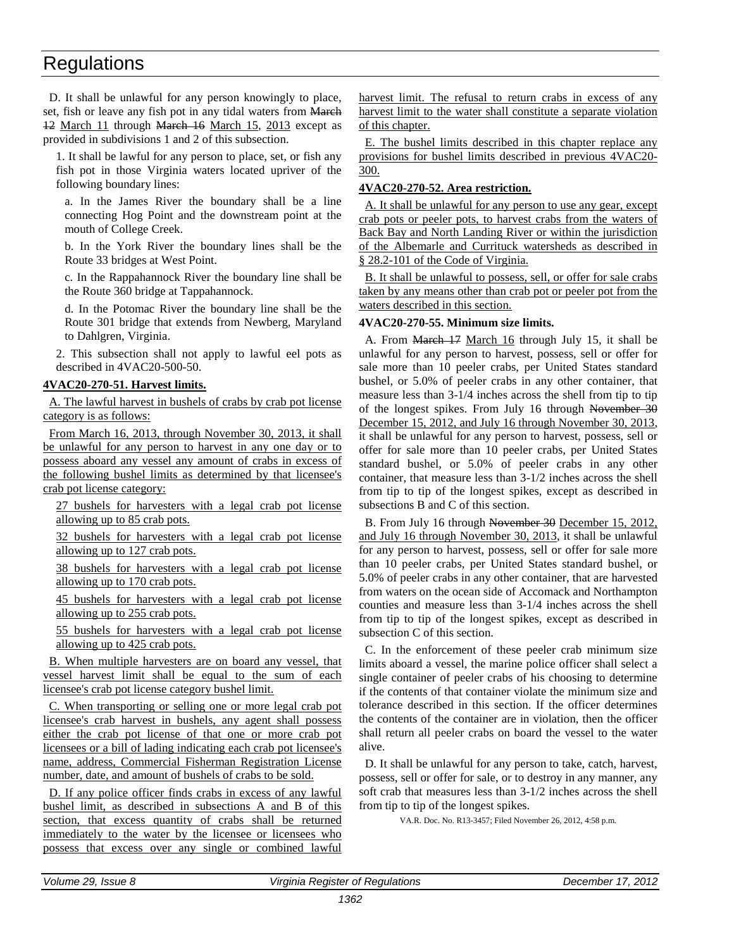D. It shall be unlawful for any person knowingly to place, set, fish or leave any fish pot in any tidal waters from March 12 March 11 through March 16 March 15, 2013 except as provided in subdivisions 1 and 2 of this subsection.

1. It shall be lawful for any person to place, set, or fish any fish pot in those Virginia waters located upriver of the following boundary lines:

a. In the James River the boundary shall be a line connecting Hog Point and the downstream point at the mouth of College Creek.

b. In the York River the boundary lines shall be the Route 33 bridges at West Point.

c. In the Rappahannock River the boundary line shall be the Route 360 bridge at Tappahannock.

d. In the Potomac River the boundary line shall be the Route 301 bridge that extends from Newberg, Maryland to Dahlgren, Virginia.

2. This subsection shall not apply to lawful eel pots as described in 4VAC20-500-50.

# **4VAC20-270-51. Harvest limits.**

A. The lawful harvest in bushels of crabs by crab pot license category is as follows:

From March 16, 2013, through November 30, 2013, it shall be unlawful for any person to harvest in any one day or to possess aboard any vessel any amount of crabs in excess of the following bushel limits as determined by that licensee's crab pot license category:

27 bushels for harvesters with a legal crab pot license allowing up to 85 crab pots.

32 bushels for harvesters with a legal crab pot license allowing up to 127 crab pots.

38 bushels for harvesters with a legal crab pot license allowing up to 170 crab pots.

45 bushels for harvesters with a legal crab pot license allowing up to 255 crab pots.

55 bushels for harvesters with a legal crab pot license allowing up to 425 crab pots.

B. When multiple harvesters are on board any vessel, that vessel harvest limit shall be equal to the sum of each licensee's crab pot license category bushel limit.

C. When transporting or selling one or more legal crab pot licensee's crab harvest in bushels, any agent shall possess either the crab pot license of that one or more crab pot licensees or a bill of lading indicating each crab pot licensee's name, address, Commercial Fisherman Registration License number, date, and amount of bushels of crabs to be sold.

D. If any police officer finds crabs in excess of any lawful bushel limit, as described in subsections A and B of this section, that excess quantity of crabs shall be returned immediately to the water by the licensee or licensees who possess that excess over any single or combined lawful

harvest limit. The refusal to return crabs in excess of any harvest limit to the water shall constitute a separate violation of this chapter.

E. The bushel limits described in this chapter replace any provisions for bushel limits described in previous 4VAC20- 300.

# **4VAC20-270-52. Area restriction.**

A. It shall be unlawful for any person to use any gear, except crab pots or peeler pots, to harvest crabs from the waters of Back Bay and North Landing River or within the jurisdiction of the Albemarle and Currituck watersheds as described in § 28.2-101 of the Code of Virginia.

B. It shall be unlawful to possess, sell, or offer for sale crabs taken by any means other than crab pot or peeler pot from the waters described in this section.

# **4VAC20-270-55. Minimum size limits.**

A. From March 17 March 16 through July 15, it shall be unlawful for any person to harvest, possess, sell or offer for sale more than 10 peeler crabs, per United States standard bushel, or 5.0% of peeler crabs in any other container, that measure less than 3-1/4 inches across the shell from tip to tip of the longest spikes. From July 16 through November 30 December 15, 2012, and July 16 through November 30, 2013, it shall be unlawful for any person to harvest, possess, sell or offer for sale more than 10 peeler crabs, per United States standard bushel, or 5.0% of peeler crabs in any other container, that measure less than 3-1/2 inches across the shell from tip to tip of the longest spikes, except as described in subsections B and C of this section.

B. From July 16 through November 30 December 15, 2012, and July 16 through November 30, 2013, it shall be unlawful for any person to harvest, possess, sell or offer for sale more than 10 peeler crabs, per United States standard bushel, or 5.0% of peeler crabs in any other container, that are harvested from waters on the ocean side of Accomack and Northampton counties and measure less than 3-1/4 inches across the shell from tip to tip of the longest spikes, except as described in subsection C of this section.

C. In the enforcement of these peeler crab minimum size limits aboard a vessel, the marine police officer shall select a single container of peeler crabs of his choosing to determine if the contents of that container violate the minimum size and tolerance described in this section. If the officer determines the contents of the container are in violation, then the officer shall return all peeler crabs on board the vessel to the water alive.

D. It shall be unlawful for any person to take, catch, harvest, possess, sell or offer for sale, or to destroy in any manner, any soft crab that measures less than 3-1/2 inches across the shell from tip to tip of the longest spikes.

VA.R. Doc. No. R13-3457; Filed November 26, 2012, 4:58 p.m.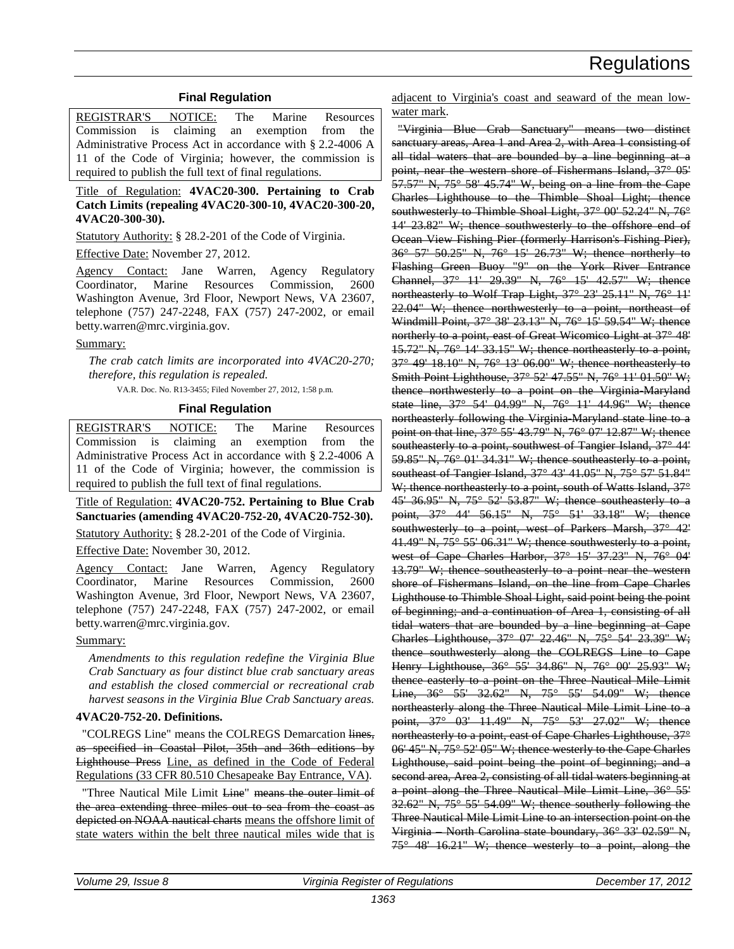# **Final Regulation**

<span id="page-10-0"></span>REGISTRAR'S NOTICE: The Marine Resources Commission is claiming an exemption from the Administrative Process Act in accordance with § 2.2-4006 A 11 of the Code of Virginia; however, the commission is required to publish the full text of final regulations.

Title of Regulation: **4VAC20-300. Pertaining to Crab Catch Limits (repealing 4VAC20-300-10, 4VAC20-300-20, 4VAC20-300-30).** 

Statutory Authority: § 28.2-201 of the Code of Virginia.

Effective Date: November 27, 2012.

Agency Contact: Jane Warren, Agency Regulatory Coordinator, Marine Resources Commission, 2600 Washington Avenue, 3rd Floor, Newport News, VA 23607, telephone (757) 247-2248, FAX (757) 247-2002, or email betty.warren@mrc.virginia.gov.

### Summary:

*The crab catch limits are incorporated into 4VAC20-270; therefore, this regulation is repealed.*

VA.R. Doc. No. R13-3455; Filed November 27, 2012, 1:58 p.m.

# **Final Regulation**

REGISTRAR'S NOTICE: The Marine Resources Commission is claiming an exemption from the Administrative Process Act in accordance with § 2.2-4006 A 11 of the Code of Virginia; however, the commission is required to publish the full text of final regulations.

Title of Regulation: **4VAC20-752. Pertaining to Blue Crab Sanctuaries (amending 4VAC20-752-20, 4VAC20-752-30).** 

Statutory Authority: § 28.2-201 of the Code of Virginia.

Effective Date: November 30, 2012.

Agency Contact: Jane Warren, Agency Regulatory Coordinator, Marine Resources Commission, 2600 Washington Avenue, 3rd Floor, Newport News, VA 23607, telephone (757) 247-2248, FAX (757) 247-2002, or email betty.warren@mrc.virginia.gov.

### Summary:

*Amendments to this regulation redefine the Virginia Blue Crab Sanctuary as four distinct blue crab sanctuary areas and establish the closed commercial or recreational crab harvest seasons in the Virginia Blue Crab Sanctuary areas.* 

### **4VAC20-752-20. Definitions.**

"COLREGS Line" means the COLREGS Demarcation lines. as specified in Coastal Pilot, 35th and 36th editions by Lighthouse Press Line, as defined in the Code of Federal Regulations (33 CFR 80.510 Chesapeake Bay Entrance, VA).

"Three Nautical Mile Limit Line" means the outer limit of the area extending three miles out to sea from the coast as depicted on NOAA nautical charts means the offshore limit of state waters within the belt three nautical miles wide that is

adjacent to Virginia's coast and seaward of the mean lowwater mark.

"Virginia Blue Crab Sanctuary" means two distinct sanctuary areas, Area 1 and Area 2, with Area 1 consisting of all tidal waters that are bounded by a line beginning at a point, near the western shore of Fishermans Island, 37° 05' 57.57" N, 75° 58' 45.74" W, being on a line from the Cape Charles Lighthouse to the Thimble Shoal Light; thence southwesterly to Thimble Shoal Light, 37° 00' 52.24" N, 76° 14' 23.82" W; thence southwesterly to the offshore end of Ocean View Fishing Pier (formerly Harrison's Fishing Pier), 36° 57' 50.25" N, 76° 15' 26.73" W; thence northerly to Flashing Green Buoy "9" on the York River Entrance Channel, 37° 11' 29.39" N, 76° 15' 42.57" W; thence northeasterly to Wolf Trap Light, 37° 23' 25.11" N, 76° 11' 22.04" W; thence northwesterly to a point, northeast of Windmill Point, 37° 38' 23.13" N, 76° 15' 59.54" W; thence northerly to a point, east of Great Wicomico Light at 37° 48' 15.72" N, 76° 14' 33.15" W; thence northeasterly to a point, 37° 49' 18.10" N, 76° 13' 06.00" W; thence northeasterly to Smith Point Lighthouse, 37° 52' 47.55" N, 76° 11' 01.50" W; thence northwesterly to a point on the Virginia-Maryland state line, 37° 54' 04.99" N, 76° 11' 44.96" W; thence northeasterly following the Virginia-Maryland state line to a point on that line, 37° 55' 43.79" N, 76° 07' 12.87" W; thence southeasterly to a point, southwest of Tangier Island, 37° 44' 59.85" N, 76° 01' 34.31" W; thence southeasterly to a point, southeast of Tangier Island, 37° 43' 41.05" N, 75° 57' 51.84" W; thence northeasterly to a point, south of Watts Island, 37° 45' 36.95" N, 75° 52' 53.87" W; thence southeasterly to a point, 37° 44' 56.15" N, 75° 51' 33.18" W; thence southwesterly to a point, west of Parkers Marsh, 37° 42' 41.49" N, 75° 55' 06.31" W; thence southwesterly to a point, west of Cape Charles Harbor, 37° 15' 37.23" N, 76° 04' 13.79" W; thence southeasterly to a point near the western shore of Fishermans Island, on the line from Cape Charles Lighthouse to Thimble Shoal Light, said point being the point of beginning; and a continuation of Area 1, consisting of all tidal waters that are bounded by a line beginning at Cape Charles Lighthouse, 37° 07' 22.46" N, 75° 54' 23.39" W; thence southwesterly along the COLREGS Line to Cape Henry Lighthouse, 36° 55' 34.86" N, 76° 00' 25.93" W; thence easterly to a point on the Three Nautical Mile Limit Line, 36° 55' 32.62" N, 75° 55' 54.09" W; thence northeasterly along the Three Nautical Mile Limit Line to a point, 37° 03' 11.49" N, 75° 53' 27.02" W; thence northeasterly to a point, east of Cape Charles Lighthouse, 37° 06' 45" N, 75° 52' 05" W; thence westerly to the Cape Charles Lighthouse, said point being the point of beginning; and a second area, Area 2, consisting of all tidal waters beginning at a point along the Three Nautical Mile Limit Line, 36° 55'  $32.62$ " N,  $75^{\circ}$  55' 54.09" W; thence southerly following the Three Nautical Mile Limit Line to an intersection point on the Virginia – North Carolina state boundary, 36° 33' 02.59" N,  $75^\circ$  48' 16.21" W; thence westerly to a point, along the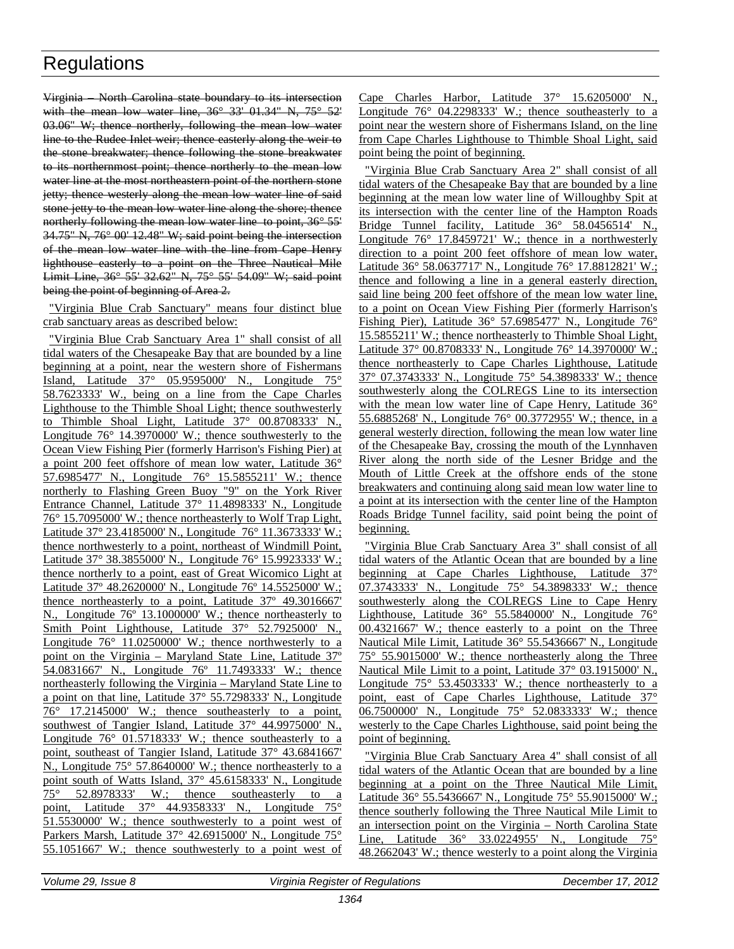Virginia – North Carolina state boundary to its intersection with the mean low water line,  $36^{\circ}$   $33^{\circ}$  01.34" N,  $75^{\circ}$   $52'$ 03.06" W; thence northerly, following the mean low water line to the Rudee Inlet weir; thence easterly along the weir to the stone breakwater; thence following the stone breakwater to its northernmost point; thence northerly to the mean low water line at the most northeastern point of the northern stone jetty; thence westerly along the mean low water line of said stone jetty to the mean low water line along the shore; thence northerly following the mean low water line to point, 36° 55' 34.75" N, 76° 00' 12.48" W; said point being the intersection of the mean low water line with the line from Cape Henry lighthouse easterly to a point on the Three Nautical Mile Limit Line, 36° 55' 32.62" N, 75° 55' 54.09" W; said point being the point of beginning of Area 2.

"Virginia Blue Crab Sanctuary" means four distinct blue crab sanctuary areas as described below:

"Virginia Blue Crab Sanctuary Area 1" shall consist of all tidal waters of the Chesapeake Bay that are bounded by a line beginning at a point, near the western shore of Fishermans Island, Latitude 37° 05.9595000' N., Longitude 75° 58.7623333' W., being on a line from the Cape Charles Lighthouse to the Thimble Shoal Light; thence southwesterly to Thimble Shoal Light, Latitude 37° 00.8708333' N., Longitude 76° 14.3970000' W.; thence southwesterly to the Ocean View Fishing Pier (formerly Harrison's Fishing Pier) at a point 200 feet offshore of mean low water, Latitude 36° 57.6985477' N., Longitude 76° 15.5855211' W.; thence northerly to Flashing Green Buoy "9" on the York River Entrance Channel, Latitude 37° 11.4898333' N., Longitude 76° 15.7095000' W.; thence northeasterly to Wolf Trap Light, Latitude 37° 23.4185000' N., Longitude 76° 11.3673333' W.; thence northwesterly to a point, northeast of Windmill Point, Latitude 37° 38.3855000' N., Longitude 76° 15.9923333' W.; thence northerly to a point, east of Great Wicomico Light at Latitude 37º 48.2620000' N., Longitude 76º 14.5525000' W.; thence northeasterly to a point, Latitude 37º 49.3016667' N., Longitude 76º 13.1000000' W.; thence northeasterly to Smith Point Lighthouse, Latitude 37° 52.7925000' N., Longitude  $76^{\circ}$  11.0250000' W.; thence northwesterly to a point on the Virginia – Maryland State Line, Latitude 37º 54.0831667' N., Longitude 76º 11.7493333' W.; thence northeasterly following the Virginia – Maryland State Line to a point on that line, Latitude 37° 55.7298333' N., Longitude 76° 17.2145000' W.; thence southeasterly to a point, southwest of Tangier Island, Latitude 37° 44.9975000' N., Longitude 76° 01.5718333' W.; thence southeasterly to a point, southeast of Tangier Island, Latitude 37° 43.6841667' N., Longitude 75° 57.8640000' W.; thence northeasterly to a point south of Watts Island, 37° 45.6158333' N., Longitude  $75^{\circ}$  52.8978333' W.; thence southeasterly to a point, Latitude 37° 44.9358333' N., Longitude 75° 51.5530000' W.; thence southwesterly to a point west of Parkers Marsh, Latitude 37° 42.6915000' N., Longitude 75° 55.1051667' W.; thence southwesterly to a point west of

Cape Charles Harbor, Latitude 37° 15.6205000' N., Longitude  $76^{\circ}$  04.2298333' W.; thence southeasterly to a point near the western shore of Fishermans Island, on the line from Cape Charles Lighthouse to Thimble Shoal Light, said point being the point of beginning.

"Virginia Blue Crab Sanctuary Area 2" shall consist of all tidal waters of the Chesapeake Bay that are bounded by a line beginning at the mean low water line of Willoughby Spit at its intersection with the center line of the Hampton Roads Bridge Tunnel facility, Latitude  $36^{\circ}$  58.0456514' N., Longitude 76° 17.8459721' W.; thence in a northwesterly direction to a point 200 feet offshore of mean low water, Latitude 36° 58.0637717' N., Longitude 76° 17.8812821' W.; thence and following a line in a general easterly direction, said line being 200 feet offshore of the mean low water line, to a point on Ocean View Fishing Pier (formerly Harrison's Fishing Pier), Latitude 36° 57.6985477' N., Longitude 76° 15.5855211' W.; thence northeasterly to Thimble Shoal Light, Latitude 37° 00.8708333' N., Longitude 76° 14.3970000' W.; thence northeasterly to Cape Charles Lighthouse, Latitude 37° 07.3743333' N., Longitude 75° 54.3898333' W.; thence southwesterly along the COLREGS Line to its intersection with the mean low water line of Cape Henry, Latitude 36° 55.6885268' N., Longitude 76° 00.3772955' W.; thence, in a general westerly direction, following the mean low water line of the Chesapeake Bay, crossing the mouth of the Lynnhaven River along the north side of the Lesner Bridge and the Mouth of Little Creek at the offshore ends of the stone breakwaters and continuing along said mean low water line to a point at its intersection with the center line of the Hampton Roads Bridge Tunnel facility, said point being the point of beginning.

"Virginia Blue Crab Sanctuary Area 3" shall consist of all tidal waters of the Atlantic Ocean that are bounded by a line beginning at Cape Charles Lighthouse, Latitude 37° 07.3743333' N., Longitude 75° 54.3898333' W.; thence southwesterly along the COLREGS Line to Cape Henry Lighthouse, Latitude 36° 55.5840000' N., Longitude 76° 00.4321667' W.; thence easterly to a point on the Three Nautical Mile Limit, Latitude 36° 55.5436667' N., Longitude 75° 55.9015000' W.; thence northeasterly along the Three Nautical Mile Limit to a point, Latitude 37° 03.1915000' N., Longitude  $75^{\circ}$  53.4503333' W.; thence northeasterly to a point, east of Cape Charles Lighthouse, Latitude 37° 06.7500000' N., Longitude 75° 52.0833333' W.; thence westerly to the Cape Charles Lighthouse, said point being the point of beginning.

"Virginia Blue Crab Sanctuary Area 4" shall consist of all tidal waters of the Atlantic Ocean that are bounded by a line beginning at a point on the Three Nautical Mile Limit, Latitude 36° 55.5436667' N., Longitude 75° 55.9015000' W.; thence southerly following the Three Nautical Mile Limit to an intersection point on the Virginia – North Carolina State Line, Latitude 36° 33.0224955' N., Longitude 75° 48.2662043' W.; thence westerly to a point along the Virginia

*Volume 29, Issue 8 Virginia Register of Regulations December 17, 2012*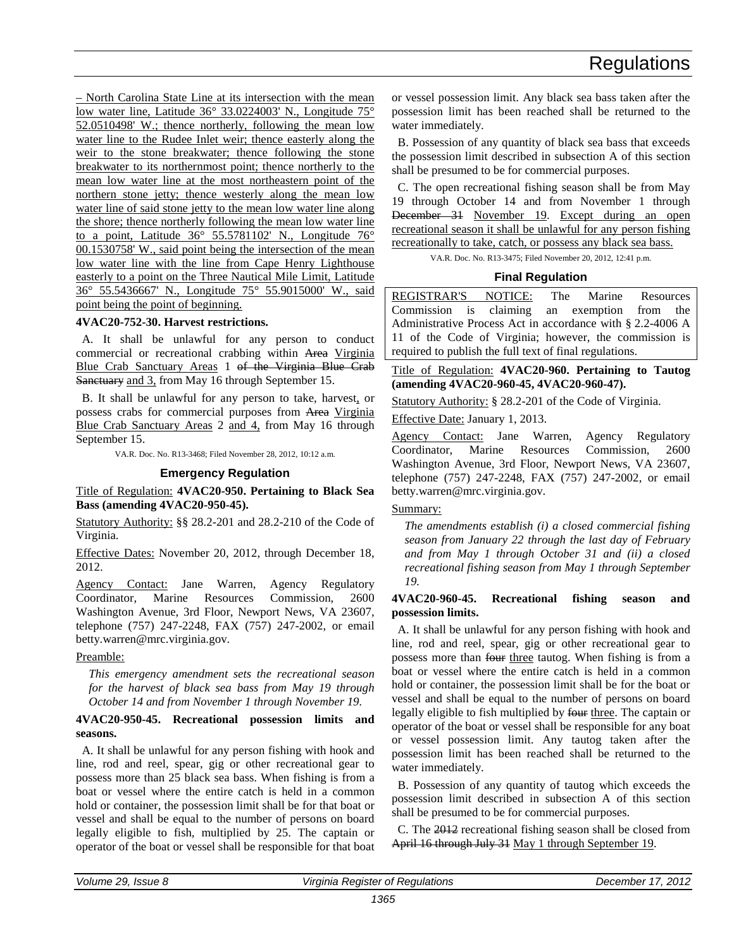<span id="page-12-0"></span>– North Carolina State Line at its intersection with the mean low water line, Latitude 36° 33.0224003' N., Longitude 75° 52.0510498' W.; thence northerly, following the mean low water line to the Rudee Inlet weir; thence easterly along the weir to the stone breakwater; thence following the stone breakwater to its northernmost point; thence northerly to the mean low water line at the most northeastern point of the northern stone jetty; thence westerly along the mean low water line of said stone jetty to the mean low water line along the shore; thence northerly following the mean low water line to a point, Latitude 36° 55.5781102' N., Longitude 76° 00.1530758' W., said point being the intersection of the mean low water line with the line from Cape Henry Lighthouse easterly to a point on the Three Nautical Mile Limit, Latitude 36° 55.5436667' N., Longitude 75° 55.9015000' W., said point being the point of beginning.

# **4VAC20-752-30. Harvest restrictions.**

A. It shall be unlawful for any person to conduct commercial or recreational crabbing within Area Virginia Blue Crab Sanctuary Areas 1 of the Virginia Blue Crab Sanctuary and 3, from May 16 through September 15.

B. It shall be unlawful for any person to take, harvest, or possess crabs for commercial purposes from Area Virginia Blue Crab Sanctuary Areas 2 and 4, from May 16 through September 15.

VA.R. Doc. No. R13-3468; Filed November 28, 2012, 10:12 a.m.

#### **Emergency Regulation**

Title of Regulation: **4VAC20-950. Pertaining to Black Sea Bass (amending 4VAC20-950-45).** 

Statutory Authority: §§ 28.2-201 and 28.2-210 of the Code of Virginia.

Effective Dates: November 20, 2012, through December 18, 2012.

Agency Contact: Jane Warren, Agency Regulatory Coordinator, Marine Resources Commission, 2600 Washington Avenue, 3rd Floor, Newport News, VA 23607, telephone (757) 247-2248, FAX (757) 247-2002, or email betty.warren@mrc.virginia.gov.

Preamble:

*This emergency amendment sets the recreational season for the harvest of black sea bass from May 19 through October 14 and from November 1 through November 19.*

# **4VAC20-950-45. Recreational possession limits and seasons.**

A. It shall be unlawful for any person fishing with hook and line, rod and reel, spear, gig or other recreational gear to possess more than 25 black sea bass. When fishing is from a boat or vessel where the entire catch is held in a common hold or container, the possession limit shall be for that boat or vessel and shall be equal to the number of persons on board legally eligible to fish, multiplied by 25. The captain or operator of the boat or vessel shall be responsible for that boat

or vessel possession limit. Any black sea bass taken after the possession limit has been reached shall be returned to the water immediately.

B. Possession of any quantity of black sea bass that exceeds the possession limit described in subsection A of this section shall be presumed to be for commercial purposes.

C. The open recreational fishing season shall be from May 19 through October 14 and from November 1 through December 31 November 19. Except during an open recreational season it shall be unlawful for any person fishing recreationally to take, catch, or possess any black sea bass.

VA.R. Doc. No. R13-3475; Filed November 20, 2012, 12:41 p.m.

# **Final Regulation**

REGISTRAR'S NOTICE: The Marine Resources Commission is claiming an exemption from the Administrative Process Act in accordance with § 2.2-4006 A 11 of the Code of Virginia; however, the commission is required to publish the full text of final regulations.

Title of Regulation: **4VAC20-960. Pertaining to Tautog (amending 4VAC20-960-45, 4VAC20-960-47).** 

Statutory Authority: § 28.2-201 of the Code of Virginia.

Effective Date: January 1, 2013.

Agency Contact: Jane Warren, Agency Regulatory Coordinator, Marine Resources Commission, 2600 Washington Avenue, 3rd Floor, Newport News, VA 23607, telephone (757) 247-2248, FAX (757) 247-2002, or email betty.warren@mrc.virginia.gov.

# Summary:

*The amendments establish (i) a closed commercial fishing season from January 22 through the last day of February and from May 1 through October 31 and (ii) a closed recreational fishing season from May 1 through September 19.* 

# **4VAC20-960-45. Recreational fishing season and possession limits.**

A. It shall be unlawful for any person fishing with hook and line, rod and reel, spear, gig or other recreational gear to possess more than four three tautog. When fishing is from a boat or vessel where the entire catch is held in a common hold or container, the possession limit shall be for the boat or vessel and shall be equal to the number of persons on board legally eligible to fish multiplied by four three. The captain or operator of the boat or vessel shall be responsible for any boat or vessel possession limit. Any tautog taken after the possession limit has been reached shall be returned to the water immediately.

B. Possession of any quantity of tautog which exceeds the possession limit described in subsection A of this section shall be presumed to be for commercial purposes.

C. The 2012 recreational fishing season shall be closed from April 16 through July 31 May 1 through September 19.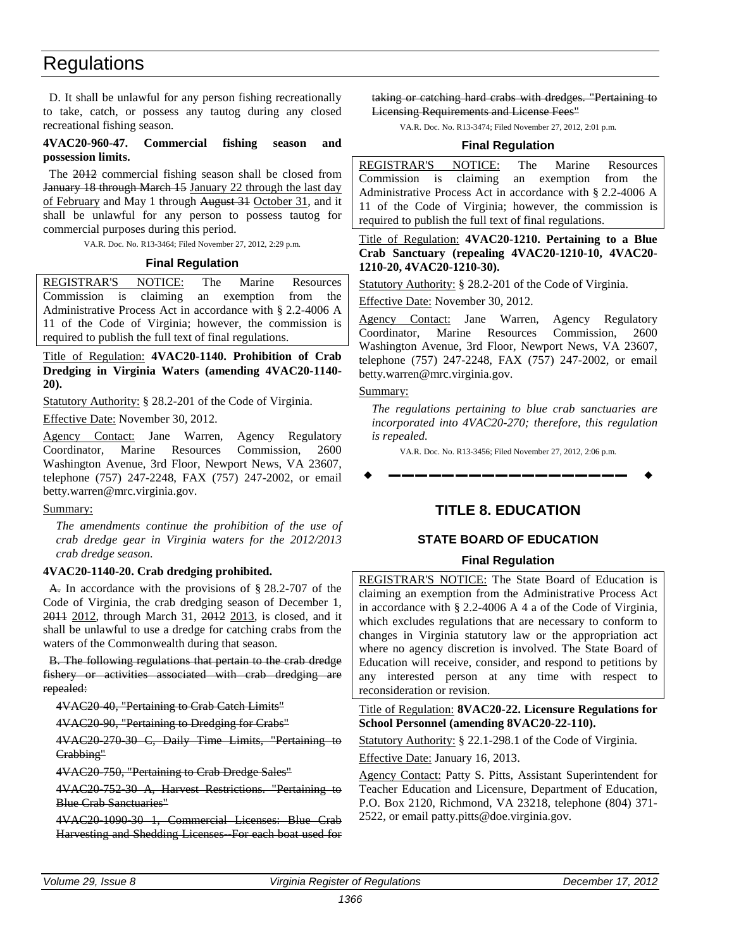<span id="page-13-0"></span>D. It shall be unlawful for any person fishing recreationally to take, catch, or possess any tautog during any closed recreational fishing season.

# **4VAC20-960-47. Commercial fishing season and possession limits.**

The 2012 commercial fishing season shall be closed from January 18 through March 15 January 22 through the last day of February and May 1 through August 31 October 31, and it shall be unlawful for any person to possess tautog for commercial purposes during this period.

VA.R. Doc. No. R13-3464; Filed November 27, 2012, 2:29 p.m.

# **Final Regulation**

REGISTRAR'S NOTICE: The Marine Resources Commission is claiming an exemption from the Administrative Process Act in accordance with § 2.2-4006 A 11 of the Code of Virginia; however, the commission is required to publish the full text of final regulations.

Title of Regulation: **4VAC20-1140. Prohibition of Crab Dredging in Virginia Waters (amending 4VAC20-1140- 20).** 

Statutory Authority: § 28.2-201 of the Code of Virginia.

Effective Date: November 30, 2012.

Agency Contact: Jane Warren, Agency Regulatory Coordinator, Marine Resources Commission, 2600 Washington Avenue, 3rd Floor, Newport News, VA 23607, telephone (757) 247-2248, FAX (757) 247-2002, or email betty.warren@mrc.virginia.gov.

### Summary:

*The amendments continue the prohibition of the use of crab dredge gear in Virginia waters for the 2012/2013 crab dredge season.*

# **4VAC20-1140-20. Crab dredging prohibited.**

A. In accordance with the provisions of § 28.2-707 of the Code of Virginia, the crab dredging season of December 1, 2011 2012, through March 31, 2012 2013, is closed, and it shall be unlawful to use a dredge for catching crabs from the waters of the Commonwealth during that season.

B. The following regulations that pertain to the crab dredge fishery or activities associated with crab dredging are repealed:

4VAC20-40, "Pertaining to Crab Catch Limits"

4VAC20-90, "Pertaining to Dredging for Crabs"

4VAC20-270-30 C, Daily Time Limits, "Pertaining to Crabbing"

4VAC20-750, "Pertaining to Crab Dredge Sales"

4VAC20-752-30 A, Harvest Restrictions. "Pertaining to Blue Crab Sanctuaries"

4VAC20-1090-30 1, Commercial Licenses: Blue Crab Harvesting and Shedding Licenses For each boat used for taking or catching hard crabs with dredges. "Pertaining to Licensing Requirements and License Fees"

VA.R. Doc. No. R13-3474; Filed November 27, 2012, 2:01 p.m.

# **Final Regulation**

REGISTRAR'S NOTICE: The Marine Resources Commission is claiming an exemption from the Administrative Process Act in accordance with § 2.2-4006 A 11 of the Code of Virginia; however, the commission is required to publish the full text of final regulations.

Title of Regulation: **4VAC20-1210. Pertaining to a Blue Crab Sanctuary (repealing 4VAC20-1210-10, 4VAC20- 1210-20, 4VAC20-1210-30).** 

Statutory Authority: § 28.2-201 of the Code of Virginia.

Effective Date: November 30, 2012.

Agency Contact: Jane Warren, Agency Regulatory Coordinator, Marine Resources Commission, 2600 Washington Avenue, 3rd Floor, Newport News, VA 23607, telephone (757) 247-2248, FAX (757) 247-2002, or email betty.warren@mrc.virginia.gov.

# Summary:

*The regulations pertaining to blue crab sanctuaries are incorporated into 4VAC20-270; therefore, this regulation is repealed.*

VA.R. Doc. No. R13-3456; Filed November 27, 2012, 2:06 p.m.

**––––––––––––––––––**

# **TITLE 8. EDUCATION**

# **STATE BOARD OF EDUCATION**

# **Final Regulation**

REGISTRAR'S NOTICE: The State Board of Education is claiming an exemption from the Administrative Process Act in accordance with § 2.2-4006 A 4 a of the Code of Virginia, which excludes regulations that are necessary to conform to changes in Virginia statutory law or the appropriation act where no agency discretion is involved. The State Board of Education will receive, consider, and respond to petitions by any interested person at any time with respect to reconsideration or revision.

Title of Regulation: **8VAC20-22. Licensure Regulations for School Personnel (amending 8VAC20-22-110).** 

Statutory Authority: § 22.1-298.1 of the Code of Virginia.

Effective Date: January 16, 2013.

Agency Contact: Patty S. Pitts, Assistant Superintendent for Teacher Education and Licensure, Department of Education, P.O. Box 2120, Richmond, VA 23218, telephone (804) 371- 2522, or email patty.pitts@doe.virginia.gov.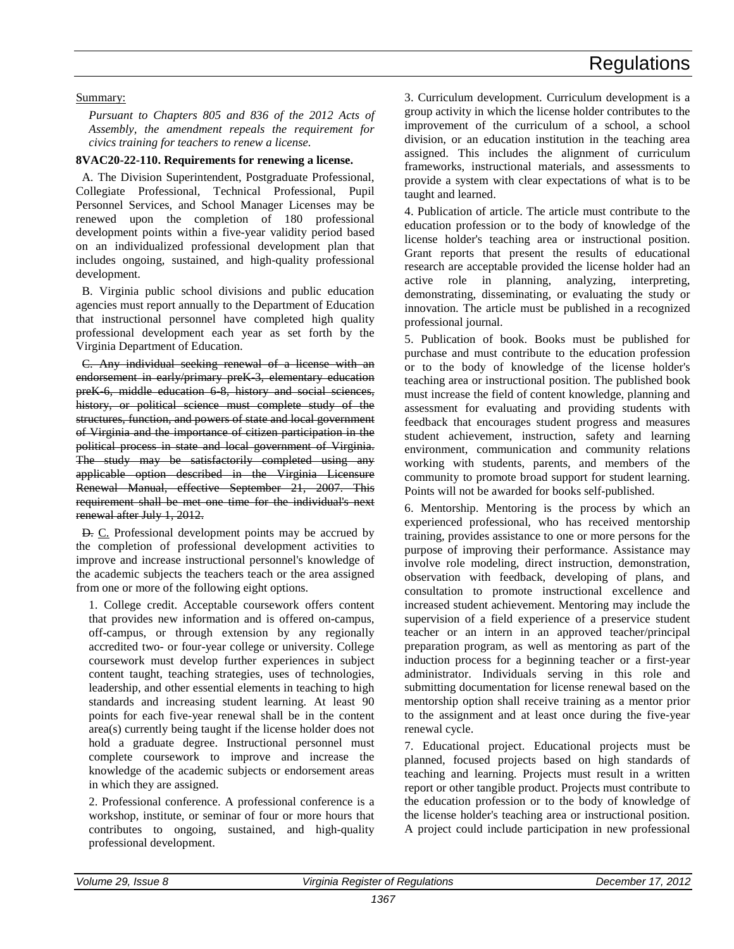# Summary:

*Pursuant to Chapters 805 and 836 of the 2012 Acts of Assembly, the amendment repeals the requirement for civics training for teachers to renew a license.*

# **8VAC20-22-110. Requirements for renewing a license.**

A. The Division Superintendent, Postgraduate Professional, Collegiate Professional, Technical Professional, Pupil Personnel Services, and School Manager Licenses may be renewed upon the completion of 180 professional development points within a five-year validity period based on an individualized professional development plan that includes ongoing, sustained, and high-quality professional development.

B. Virginia public school divisions and public education agencies must report annually to the Department of Education that instructional personnel have completed high quality professional development each year as set forth by the Virginia Department of Education.

C. Any individual seeking renewal of a license with an endorsement in early/primary preK 3, elementary education preK-6, middle education 6-8, history and social sciences, history, or political science must complete study of the structures, function, and powers of state and local government of Virginia and the importance of citizen participation in the political process in state and local government of Virginia. The study may be satisfactorily completed using any applicable option described in the Virginia Licensure Renewal Manual, effective September 21, 2007. This requirement shall be met one time for the individual's next renewal after July 1, 2012.

D. C. Professional development points may be accrued by the completion of professional development activities to improve and increase instructional personnel's knowledge of the academic subjects the teachers teach or the area assigned from one or more of the following eight options.

1. College credit. Acceptable coursework offers content that provides new information and is offered on-campus, off-campus, or through extension by any regionally accredited two- or four-year college or university. College coursework must develop further experiences in subject content taught, teaching strategies, uses of technologies, leadership, and other essential elements in teaching to high standards and increasing student learning. At least 90 points for each five-year renewal shall be in the content area(s) currently being taught if the license holder does not hold a graduate degree. Instructional personnel must complete coursework to improve and increase the knowledge of the academic subjects or endorsement areas in which they are assigned.

2. Professional conference. A professional conference is a workshop, institute, or seminar of four or more hours that contributes to ongoing, sustained, and high-quality professional development.

3. Curriculum development. Curriculum development is a group activity in which the license holder contributes to the improvement of the curriculum of a school, a school division, or an education institution in the teaching area assigned. This includes the alignment of curriculum frameworks, instructional materials, and assessments to provide a system with clear expectations of what is to be taught and learned.

4. Publication of article. The article must contribute to the education profession or to the body of knowledge of the license holder's teaching area or instructional position. Grant reports that present the results of educational research are acceptable provided the license holder had an active role in planning, analyzing, interpreting, demonstrating, disseminating, or evaluating the study or innovation. The article must be published in a recognized professional journal.

5. Publication of book. Books must be published for purchase and must contribute to the education profession or to the body of knowledge of the license holder's teaching area or instructional position. The published book must increase the field of content knowledge, planning and assessment for evaluating and providing students with feedback that encourages student progress and measures student achievement, instruction, safety and learning environment, communication and community relations working with students, parents, and members of the community to promote broad support for student learning. Points will not be awarded for books self-published.

6. Mentorship. Mentoring is the process by which an experienced professional, who has received mentorship training, provides assistance to one or more persons for the purpose of improving their performance. Assistance may involve role modeling, direct instruction, demonstration, observation with feedback, developing of plans, and consultation to promote instructional excellence and increased student achievement. Mentoring may include the supervision of a field experience of a preservice student teacher or an intern in an approved teacher/principal preparation program, as well as mentoring as part of the induction process for a beginning teacher or a first-year administrator. Individuals serving in this role and submitting documentation for license renewal based on the mentorship option shall receive training as a mentor prior to the assignment and at least once during the five-year renewal cycle.

7. Educational project. Educational projects must be planned, focused projects based on high standards of teaching and learning. Projects must result in a written report or other tangible product. Projects must contribute to the education profession or to the body of knowledge of the license holder's teaching area or instructional position. A project could include participation in new professional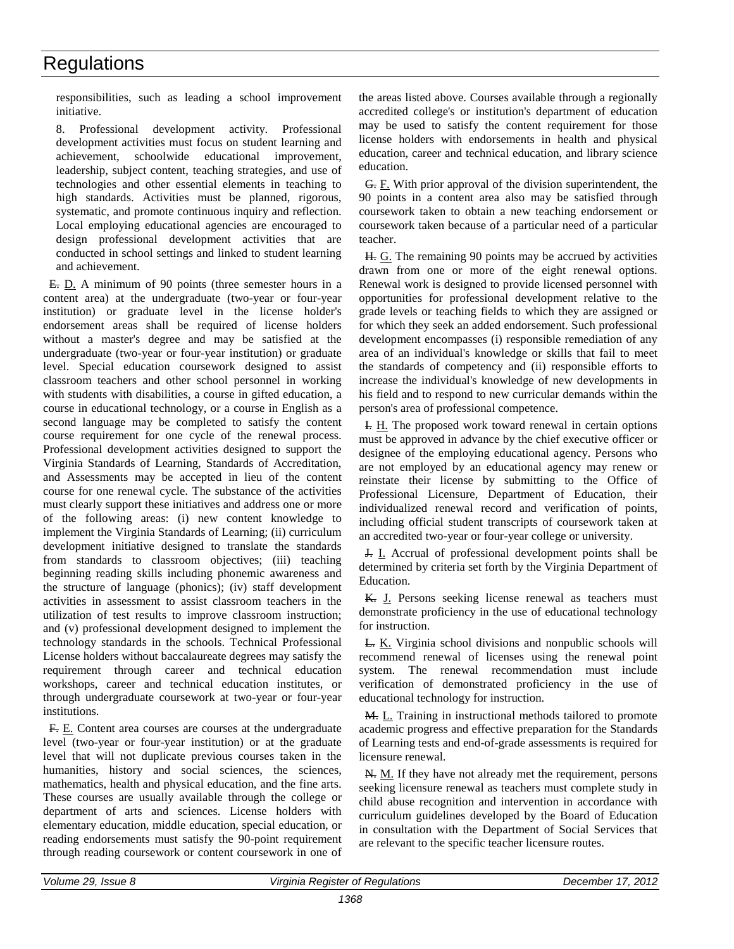responsibilities, such as leading a school improvement initiative.

8. Professional development activity. Professional development activities must focus on student learning and achievement, schoolwide educational improvement, leadership, subject content, teaching strategies, and use of technologies and other essential elements in teaching to high standards. Activities must be planned, rigorous, systematic, and promote continuous inquiry and reflection. Local employing educational agencies are encouraged to design professional development activities that are conducted in school settings and linked to student learning and achievement.

E. D. A minimum of 90 points (three semester hours in a content area) at the undergraduate (two-year or four-year institution) or graduate level in the license holder's endorsement areas shall be required of license holders without a master's degree and may be satisfied at the undergraduate (two-year or four-year institution) or graduate level. Special education coursework designed to assist classroom teachers and other school personnel in working with students with disabilities, a course in gifted education, a course in educational technology, or a course in English as a second language may be completed to satisfy the content course requirement for one cycle of the renewal process. Professional development activities designed to support the Virginia Standards of Learning, Standards of Accreditation, and Assessments may be accepted in lieu of the content course for one renewal cycle. The substance of the activities must clearly support these initiatives and address one or more of the following areas: (i) new content knowledge to implement the Virginia Standards of Learning; (ii) curriculum development initiative designed to translate the standards from standards to classroom objectives; (iii) teaching beginning reading skills including phonemic awareness and the structure of language (phonics); (iv) staff development activities in assessment to assist classroom teachers in the utilization of test results to improve classroom instruction; and (v) professional development designed to implement the technology standards in the schools. Technical Professional License holders without baccalaureate degrees may satisfy the requirement through career and technical education workshops, career and technical education institutes, or through undergraduate coursework at two-year or four-year institutions.

F. E. Content area courses are courses at the undergraduate level (two-year or four-year institution) or at the graduate level that will not duplicate previous courses taken in the humanities, history and social sciences, the sciences, mathematics, health and physical education, and the fine arts. These courses are usually available through the college or department of arts and sciences. License holders with elementary education, middle education, special education, or reading endorsements must satisfy the 90-point requirement through reading coursework or content coursework in one of the areas listed above. Courses available through a regionally accredited college's or institution's department of education may be used to satisfy the content requirement for those license holders with endorsements in health and physical education, career and technical education, and library science education.

G. F. With prior approval of the division superintendent, the 90 points in a content area also may be satisfied through coursework taken to obtain a new teaching endorsement or coursework taken because of a particular need of a particular teacher.

H. G. The remaining 90 points may be accrued by activities drawn from one or more of the eight renewal options. Renewal work is designed to provide licensed personnel with opportunities for professional development relative to the grade levels or teaching fields to which they are assigned or for which they seek an added endorsement. Such professional development encompasses (i) responsible remediation of any area of an individual's knowledge or skills that fail to meet the standards of competency and (ii) responsible efforts to increase the individual's knowledge of new developments in his field and to respond to new curricular demands within the person's area of professional competence.

I. H. The proposed work toward renewal in certain options must be approved in advance by the chief executive officer or designee of the employing educational agency. Persons who are not employed by an educational agency may renew or reinstate their license by submitting to the Office of Professional Licensure, Department of Education, their individualized renewal record and verification of points, including official student transcripts of coursework taken at an accredited two-year or four-year college or university.

J. I. Accrual of professional development points shall be determined by criteria set forth by the Virginia Department of Education.

K. J. Persons seeking license renewal as teachers must demonstrate proficiency in the use of educational technology for instruction.

L. K. Virginia school divisions and nonpublic schools will recommend renewal of licenses using the renewal point system. The renewal recommendation must include verification of demonstrated proficiency in the use of educational technology for instruction.

M. L. Training in instructional methods tailored to promote academic progress and effective preparation for the Standards of Learning tests and end-of-grade assessments is required for licensure renewal.

N. M. If they have not already met the requirement, persons seeking licensure renewal as teachers must complete study in child abuse recognition and intervention in accordance with curriculum guidelines developed by the Board of Education in consultation with the Department of Social Services that are relevant to the specific teacher licensure routes.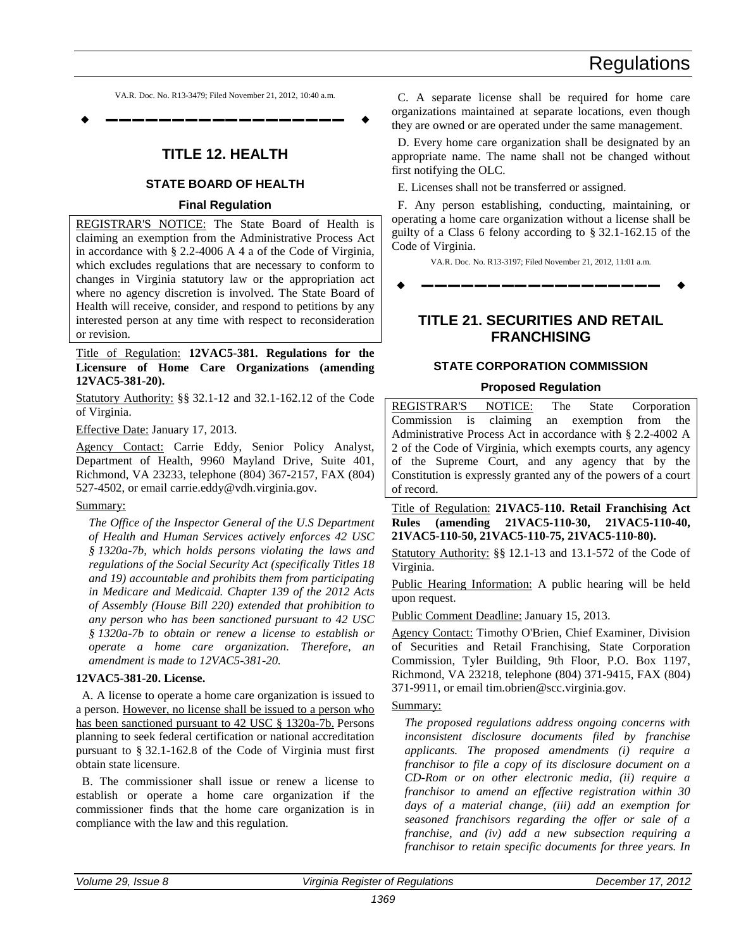VA.R. Doc. No. R13-3479; Filed November 21, 2012, 10:40 a.m.

<span id="page-16-0"></span>**––––––––––––––––––**

# **TITLE 12. HEALTH**

# **STATE BOARD OF HEALTH**

# **Final Regulation**

REGISTRAR'S NOTICE: The State Board of Health is claiming an exemption from the Administrative Process Act in accordance with § 2.2-4006 A 4 a of the Code of Virginia, which excludes regulations that are necessary to conform to changes in Virginia statutory law or the appropriation act where no agency discretion is involved. The State Board of Health will receive, consider, and respond to petitions by any interested person at any time with respect to reconsideration or revision.

Title of Regulation: **12VAC5-381. Regulations for the Licensure of Home Care Organizations (amending 12VAC5-381-20).** 

Statutory Authority: §§ 32.1-12 and 32.1-162.12 of the Code of Virginia.

Effective Date: January 17, 2013.

Agency Contact: Carrie Eddy, Senior Policy Analyst, Department of Health, 9960 Mayland Drive, Suite 401, Richmond, VA 23233, telephone (804) 367-2157, FAX (804) 527-4502, or email carrie.eddy@vdh.virginia.gov.

### Summary:

*The Office of the Inspector General of the U.S Department of Health and Human Services actively enforces 42 USC § 1320a-7b, which holds persons violating the laws and regulations of the Social Security Act (specifically Titles 18 and 19) accountable and prohibits them from participating in Medicare and Medicaid. Chapter 139 of the 2012 Acts of Assembly (House Bill 220) extended that prohibition to any person who has been sanctioned pursuant to 42 USC § 1320a-7b to obtain or renew a license to establish or operate a home care organization. Therefore, an amendment is made to 12VAC5-381-20.* 

# **12VAC5-381-20. License.**

A. A license to operate a home care organization is issued to a person. However, no license shall be issued to a person who has been sanctioned pursuant to 42 USC § 1320a-7b. Persons planning to seek federal certification or national accreditation pursuant to § 32.1-162.8 of the Code of Virginia must first obtain state licensure.

B. The commissioner shall issue or renew a license to establish or operate a home care organization if the commissioner finds that the home care organization is in compliance with the law and this regulation.

C. A separate license shall be required for home care organizations maintained at separate locations, even though they are owned or are operated under the same management.

D. Every home care organization shall be designated by an appropriate name. The name shall not be changed without first notifying the OLC.

E. Licenses shall not be transferred or assigned.

F. Any person establishing, conducting, maintaining, or operating a home care organization without a license shall be guilty of a Class 6 felony according to § 32.1-162.15 of the Code of Virginia.

VA.R. Doc. No. R13-3197; Filed November 21, 2012, 11:01 a.m.

**––––––––––––––––––**

# **TITLE 21. SECURITIES AND RETAIL FRANCHISING**

# **STATE CORPORATION COMMISSION**

### **Proposed Regulation**

REGISTRAR'S NOTICE: The State Corporation Commission is claiming an exemption from the Administrative Process Act in accordance with § 2.2-4002 A 2 of the Code of Virginia, which exempts courts, any agency of the Supreme Court, and any agency that by the Constitution is expressly granted any of the powers of a court of record.

Title of Regulation: **21VAC5-110. Retail Franchising Act Rules (amending 21VAC5-110-30, 21VAC5-110-40, 21VAC5-110-50, 21VAC5-110-75, 21VAC5-110-80).** 

Statutory Authority: §§ 12.1-13 and 13.1-572 of the Code of Virginia.

Public Hearing Information: A public hearing will be held upon request.

Public Comment Deadline: January 15, 2013.

Agency Contact: Timothy O'Brien, Chief Examiner, Division of Securities and Retail Franchising, State Corporation Commission, Tyler Building, 9th Floor, P.O. Box 1197, Richmond, VA 23218, telephone (804) 371-9415, FAX (804) 371-9911, or email tim.obrien@scc.virginia.gov.

# Summary:

*The proposed regulations address ongoing concerns with inconsistent disclosure documents filed by franchise applicants. The proposed amendments (i) require a franchisor to file a copy of its disclosure document on a CD-Rom or on other electronic media, (ii) require a franchisor to amend an effective registration within 30 days of a material change, (iii) add an exemption for seasoned franchisors regarding the offer or sale of a franchise, and (iv) add a new subsection requiring a franchisor to retain specific documents for three years. In*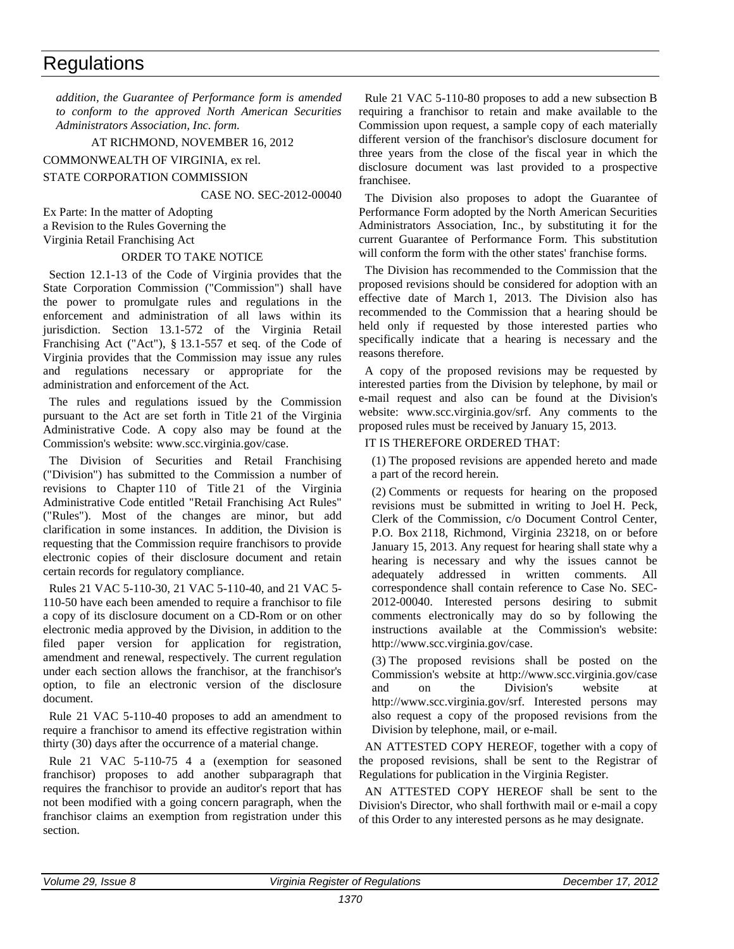*addition, the Guarantee of Performance form is amended to conform to the approved North American Securities Administrators Association, Inc. form.* 

AT RICHMOND, NOVEMBER 16, 2012

COMMONWEALTH OF VIRGINIA, ex rel.

# STATE CORPORATION COMMISSION

# CASE NO. SEC-2012-00040

Ex Parte: In the matter of Adopting

a Revision to the Rules Governing the Virginia Retail Franchising Act

# ORDER TO TAKE NOTICE

Section 12.1-13 of the Code of Virginia provides that the State Corporation Commission ("Commission") shall have the power to promulgate rules and regulations in the enforcement and administration of all laws within its jurisdiction. Section 13.1-572 of the Virginia Retail Franchising Act ("Act"), § 13.1-557 et seq. of the Code of Virginia provides that the Commission may issue any rules and regulations necessary or appropriate for the administration and enforcement of the Act.

The rules and regulations issued by the Commission pursuant to the Act are set forth in Title 21 of the Virginia Administrative Code. A copy also may be found at the Commission's website: www.scc.virginia.gov/case.

The Division of Securities and Retail Franchising ("Division") has submitted to the Commission a number of revisions to Chapter 110 of Title 21 of the Virginia Administrative Code entitled "Retail Franchising Act Rules" ("Rules"). Most of the changes are minor, but add clarification in some instances. In addition, the Division is requesting that the Commission require franchisors to provide electronic copies of their disclosure document and retain certain records for regulatory compliance.

Rules 21 VAC 5-110-30, 21 VAC 5-110-40, and 21 VAC 5- 110-50 have each been amended to require a franchisor to file a copy of its disclosure document on a CD-Rom or on other electronic media approved by the Division, in addition to the filed paper version for application for registration, amendment and renewal, respectively. The current regulation under each section allows the franchisor, at the franchisor's option, to file an electronic version of the disclosure document.

Rule 21 VAC 5-110-40 proposes to add an amendment to require a franchisor to amend its effective registration within thirty (30) days after the occurrence of a material change.

Rule 21 VAC 5-110-75 4 a (exemption for seasoned franchisor) proposes to add another subparagraph that requires the franchisor to provide an auditor's report that has not been modified with a going concern paragraph, when the franchisor claims an exemption from registration under this section.

Rule 21 VAC 5-110-80 proposes to add a new subsection B requiring a franchisor to retain and make available to the Commission upon request, a sample copy of each materially different version of the franchisor's disclosure document for three years from the close of the fiscal year in which the disclosure document was last provided to a prospective franchisee.

The Division also proposes to adopt the Guarantee of Performance Form adopted by the North American Securities Administrators Association, Inc., by substituting it for the current Guarantee of Performance Form. This substitution will conform the form with the other states' franchise forms.

The Division has recommended to the Commission that the proposed revisions should be considered for adoption with an effective date of March 1, 2013. The Division also has recommended to the Commission that a hearing should be held only if requested by those interested parties who specifically indicate that a hearing is necessary and the reasons therefore.

A copy of the proposed revisions may be requested by interested parties from the Division by telephone, by mail or e-mail request and also can be found at the Division's website: www.scc.virginia.gov/srf. Any comments to the proposed rules must be received by January 15, 2013.

# IT IS THEREFORE ORDERED THAT:

(1) The proposed revisions are appended hereto and made a part of the record herein.

(2) Comments or requests for hearing on the proposed revisions must be submitted in writing to Joel H. Peck, Clerk of the Commission, c/o Document Control Center, P.O. Box 2118, Richmond, Virginia 23218, on or before January 15, 2013. Any request for hearing shall state why a hearing is necessary and why the issues cannot be adequately addressed in written comments. All correspondence shall contain reference to Case No. SEC-2012-00040. Interested persons desiring to submit comments electronically may do so by following the instructions available at the Commission's website: http://www.scc.virginia.gov/case.

(3) The proposed revisions shall be posted on the Commission's website at http://www.scc.virginia.gov/case and on the Division's website at http://www.scc.virginia.gov/srf. Interested persons may also request a copy of the proposed revisions from the Division by telephone, mail, or e-mail.

AN ATTESTED COPY HEREOF, together with a copy of the proposed revisions, shall be sent to the Registrar of Regulations for publication in the Virginia Register.

AN ATTESTED COPY HEREOF shall be sent to the Division's Director, who shall forthwith mail or e-mail a copy of this Order to any interested persons as he may designate.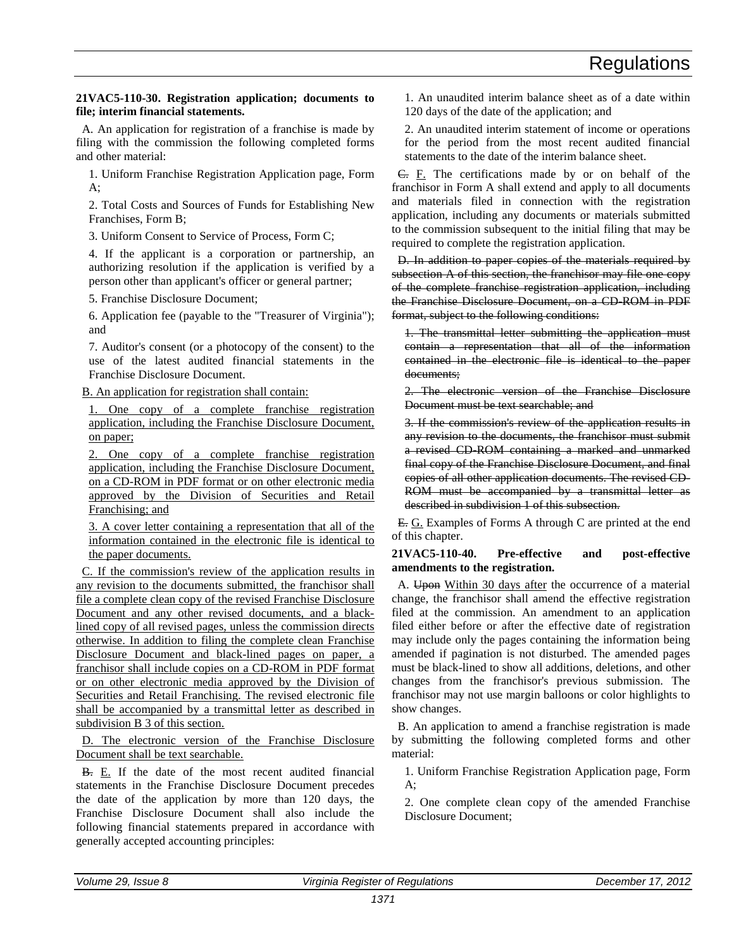# **21VAC5-110-30. Registration application; documents to file; interim financial statements.**

A. An application for registration of a franchise is made by filing with the commission the following completed forms and other material:

1. Uniform Franchise Registration Application page, Form A;

2. Total Costs and Sources of Funds for Establishing New Franchises, Form B;

3. Uniform Consent to Service of Process, Form C;

4. If the applicant is a corporation or partnership, an authorizing resolution if the application is verified by a person other than applicant's officer or general partner;

5. Franchise Disclosure Document;

6. Application fee (payable to the "Treasurer of Virginia"); and

7. Auditor's consent (or a photocopy of the consent) to the use of the latest audited financial statements in the Franchise Disclosure Document.

B. An application for registration shall contain:

1. One copy of a complete franchise registration application, including the Franchise Disclosure Document, on paper;

2. One copy of a complete franchise registration application, including the Franchise Disclosure Document, on a CD-ROM in PDF format or on other electronic media approved by the Division of Securities and Retail Franchising; and

3. A cover letter containing a representation that all of the information contained in the electronic file is identical to the paper documents.

C. If the commission's review of the application results in any revision to the documents submitted, the franchisor shall file a complete clean copy of the revised Franchise Disclosure Document and any other revised documents, and a blacklined copy of all revised pages, unless the commission directs otherwise. In addition to filing the complete clean Franchise Disclosure Document and black-lined pages on paper, a franchisor shall include copies on a CD-ROM in PDF format or on other electronic media approved by the Division of Securities and Retail Franchising. The revised electronic file shall be accompanied by a transmittal letter as described in subdivision B 3 of this section.

D. The electronic version of the Franchise Disclosure Document shall be text searchable.

B. E. If the date of the most recent audited financial statements in the Franchise Disclosure Document precedes the date of the application by more than 120 days, the Franchise Disclosure Document shall also include the following financial statements prepared in accordance with generally accepted accounting principles:

1. An unaudited interim balance sheet as of a date within 120 days of the date of the application; and

2. An unaudited interim statement of income or operations for the period from the most recent audited financial statements to the date of the interim balance sheet.

C. F. The certifications made by or on behalf of the franchisor in Form A shall extend and apply to all documents and materials filed in connection with the registration application, including any documents or materials submitted to the commission subsequent to the initial filing that may be required to complete the registration application.

D. In addition to paper copies of the materials required by subsection A of this section, the franchisor may file one copy of the complete franchise registration application, including the Franchise Disclosure Document, on a CD-ROM in PDF format, subject to the following conditions:

1. The transmittal letter submitting the application must contain a representation that all of the information contained in the electronic file is identical to the paper documents;

2. The electronic version of the Franchise Disclosure Document must be text searchable; and

3. If the commission's review of the application results in any revision to the documents, the franchisor must submit a revised CD-ROM containing a marked and unmarked final copy of the Franchise Disclosure Document, and final copies of all other application documents. The revised CD-ROM must be accompanied by a transmittal letter as described in subdivision 1 of this subsection.

E. G. Examples of Forms A through C are printed at the end of this chapter.

# **21VAC5-110-40. Pre-effective and post-effective amendments to the registration.**

A. Upon Within 30 days after the occurrence of a material change, the franchisor shall amend the effective registration filed at the commission. An amendment to an application filed either before or after the effective date of registration may include only the pages containing the information being amended if pagination is not disturbed. The amended pages must be black-lined to show all additions, deletions, and other changes from the franchisor's previous submission. The franchisor may not use margin balloons or color highlights to show changes.

B. An application to amend a franchise registration is made by submitting the following completed forms and other material:

1. Uniform Franchise Registration Application page, Form  $A$ ;

2. One complete clean copy of the amended Franchise Disclosure Document;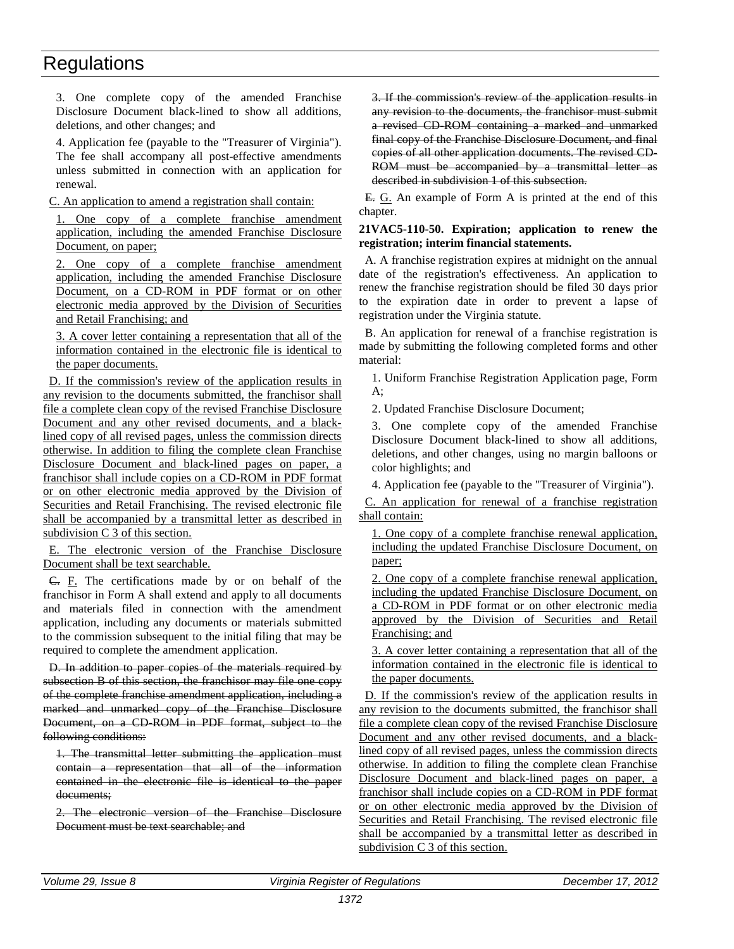3. One complete copy of the amended Franchise Disclosure Document black-lined to show all additions, deletions, and other changes; and

4. Application fee (payable to the "Treasurer of Virginia"). The fee shall accompany all post-effective amendments unless submitted in connection with an application for renewal.

C. An application to amend a registration shall contain:

1. One copy of a complete franchise amendment application, including the amended Franchise Disclosure Document, on paper;

2. One copy of a complete franchise amendment application, including the amended Franchise Disclosure Document, on a CD-ROM in PDF format or on other electronic media approved by the Division of Securities and Retail Franchising; and

3. A cover letter containing a representation that all of the information contained in the electronic file is identical to the paper documents.

D. If the commission's review of the application results in any revision to the documents submitted, the franchisor shall file a complete clean copy of the revised Franchise Disclosure Document and any other revised documents, and a blacklined copy of all revised pages, unless the commission directs otherwise. In addition to filing the complete clean Franchise Disclosure Document and black-lined pages on paper, a franchisor shall include copies on a CD-ROM in PDF format or on other electronic media approved by the Division of Securities and Retail Franchising. The revised electronic file shall be accompanied by a transmittal letter as described in subdivision C 3 of this section.

E. The electronic version of the Franchise Disclosure Document shall be text searchable.

C. F. The certifications made by or on behalf of the franchisor in Form A shall extend and apply to all documents and materials filed in connection with the amendment application, including any documents or materials submitted to the commission subsequent to the initial filing that may be required to complete the amendment application.

D. In addition to paper copies of the materials required by subsection B of this section, the franchisor may file one copy of the complete franchise amendment application, including a marked and unmarked copy of the Franchise Disclosure Document, on a CD-ROM in PDF format, subject to the following conditions:

1. The transmittal letter submitting the application must contain a representation that all of the information contained in the electronic file is identical to the paper documents;

2. The electronic version of the Franchise Disclosure Document must be text searchable; and

3. If the commission's review of the application results in any revision to the documents, the franchisor must submit a revised CD-ROM containing a marked and unmarked final copy of the Franchise Disclosure Document, and final copies of all other application documents. The revised CD-ROM must be accompanied by a transmittal letter as described in subdivision 1 of this subsection.

E. G. An example of Form A is printed at the end of this chapter.

### **21VAC5-110-50. Expiration; application to renew the registration; interim financial statements.**

A. A franchise registration expires at midnight on the annual date of the registration's effectiveness. An application to renew the franchise registration should be filed 30 days prior to the expiration date in order to prevent a lapse of registration under the Virginia statute.

B. An application for renewal of a franchise registration is made by submitting the following completed forms and other material:

1. Uniform Franchise Registration Application page, Form A;

2. Updated Franchise Disclosure Document;

3. One complete copy of the amended Franchise Disclosure Document black-lined to show all additions, deletions, and other changes, using no margin balloons or color highlights; and

4. Application fee (payable to the "Treasurer of Virginia").

C. An application for renewal of a franchise registration shall contain:

1. One copy of a complete franchise renewal application, including the updated Franchise Disclosure Document, on paper;

2. One copy of a complete franchise renewal application, including the updated Franchise Disclosure Document, on a CD-ROM in PDF format or on other electronic media approved by the Division of Securities and Retail Franchising; and

3. A cover letter containing a representation that all of the information contained in the electronic file is identical to the paper documents.

D. If the commission's review of the application results in any revision to the documents submitted, the franchisor shall file a complete clean copy of the revised Franchise Disclosure Document and any other revised documents, and a blacklined copy of all revised pages, unless the commission directs otherwise. In addition to filing the complete clean Franchise Disclosure Document and black-lined pages on paper, a franchisor shall include copies on a CD-ROM in PDF format or on other electronic media approved by the Division of Securities and Retail Franchising. The revised electronic file shall be accompanied by a transmittal letter as described in subdivision C 3 of this section.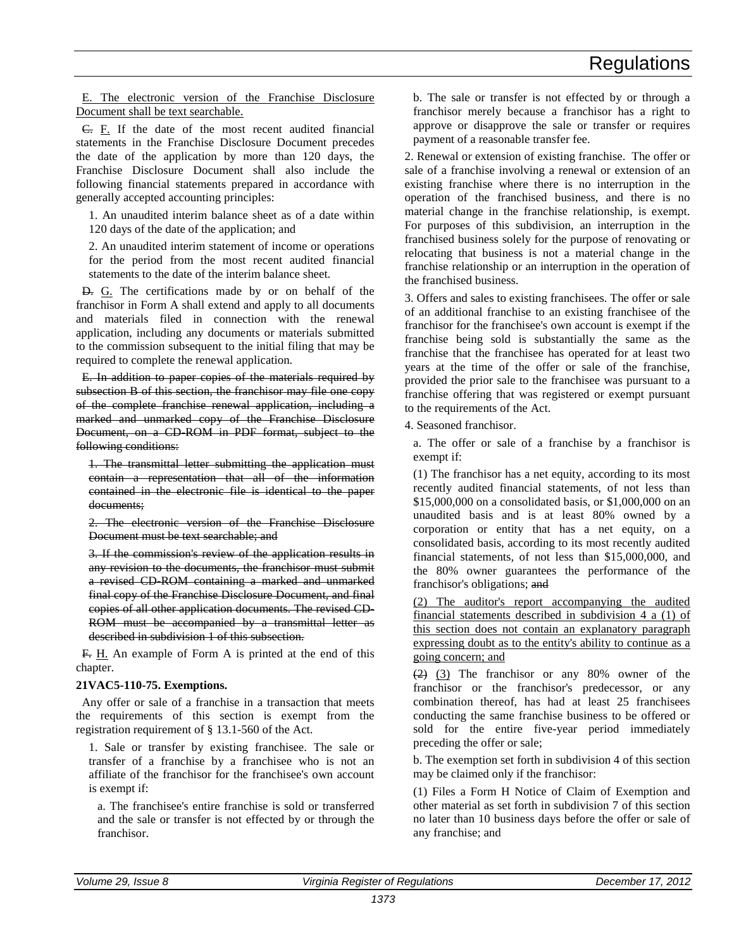E. The electronic version of the Franchise Disclosure Document shall be text searchable.

C. F. If the date of the most recent audited financial statements in the Franchise Disclosure Document precedes the date of the application by more than 120 days, the Franchise Disclosure Document shall also include the following financial statements prepared in accordance with generally accepted accounting principles:

1. An unaudited interim balance sheet as of a date within 120 days of the date of the application; and

2. An unaudited interim statement of income or operations for the period from the most recent audited financial statements to the date of the interim balance sheet.

D. G. The certifications made by or on behalf of the franchisor in Form A shall extend and apply to all documents and materials filed in connection with the renewal application, including any documents or materials submitted to the commission subsequent to the initial filing that may be required to complete the renewal application.

E. In addition to paper copies of the materials required by subsection B of this section, the franchisor may file one copy of the complete franchise renewal application, including a marked and unmarked copy of the Franchise Disclosure Document, on a CD-ROM in PDF format, subject to the following conditions:

1. The transmittal letter submitting the application must contain a representation that all of the information contained in the electronic file is identical to the paper documents;

2. The electronic version of the Franchise Disclosure Document must be text searchable; and

3. If the commission's review of the application results in any revision to the documents, the franchisor must submit a revised CD-ROM containing a marked and unmarked final copy of the Franchise Disclosure Document, and final copies of all other application documents. The revised CD-ROM must be accompanied by a transmittal letter as described in subdivision 1 of this subsection.

F. H. An example of Form A is printed at the end of this chapter.

# **21VAC5-110-75. Exemptions.**

Any offer or sale of a franchise in a transaction that meets the requirements of this section is exempt from the registration requirement of § 13.1-560 of the Act.

1. Sale or transfer by existing franchisee. The sale or transfer of a franchise by a franchisee who is not an affiliate of the franchisor for the franchisee's own account is exempt if:

a. The franchisee's entire franchise is sold or transferred and the sale or transfer is not effected by or through the franchisor.

b. The sale or transfer is not effected by or through a franchisor merely because a franchisor has a right to approve or disapprove the sale or transfer or requires payment of a reasonable transfer fee.

2. Renewal or extension of existing franchise. The offer or sale of a franchise involving a renewal or extension of an existing franchise where there is no interruption in the operation of the franchised business, and there is no material change in the franchise relationship, is exempt. For purposes of this subdivision, an interruption in the franchised business solely for the purpose of renovating or relocating that business is not a material change in the franchise relationship or an interruption in the operation of the franchised business.

3. Offers and sales to existing franchisees. The offer or sale of an additional franchise to an existing franchisee of the franchisor for the franchisee's own account is exempt if the franchise being sold is substantially the same as the franchise that the franchisee has operated for at least two years at the time of the offer or sale of the franchise, provided the prior sale to the franchisee was pursuant to a franchise offering that was registered or exempt pursuant to the requirements of the Act.

4. Seasoned franchisor.

a. The offer or sale of a franchise by a franchisor is exempt if:

(1) The franchisor has a net equity, according to its most recently audited financial statements, of not less than \$15,000,000 on a consolidated basis, or \$1,000,000 on an unaudited basis and is at least 80% owned by a corporation or entity that has a net equity, on a consolidated basis, according to its most recently audited financial statements, of not less than \$15,000,000, and the 80% owner guarantees the performance of the franchisor's obligations; and

(2) The auditor's report accompanying the audited financial statements described in subdivision  $4a(1)$  of this section does not contain an explanatory paragraph expressing doubt as to the entity's ability to continue as a going concern; and

 $(2)$  (3) The franchisor or any 80% owner of the franchisor or the franchisor's predecessor, or any combination thereof, has had at least 25 franchisees conducting the same franchise business to be offered or sold for the entire five-year period immediately preceding the offer or sale;

b. The exemption set forth in subdivision 4 of this section may be claimed only if the franchisor:

(1) Files a Form H Notice of Claim of Exemption and other material as set forth in subdivision 7 of this section no later than 10 business days before the offer or sale of any franchise; and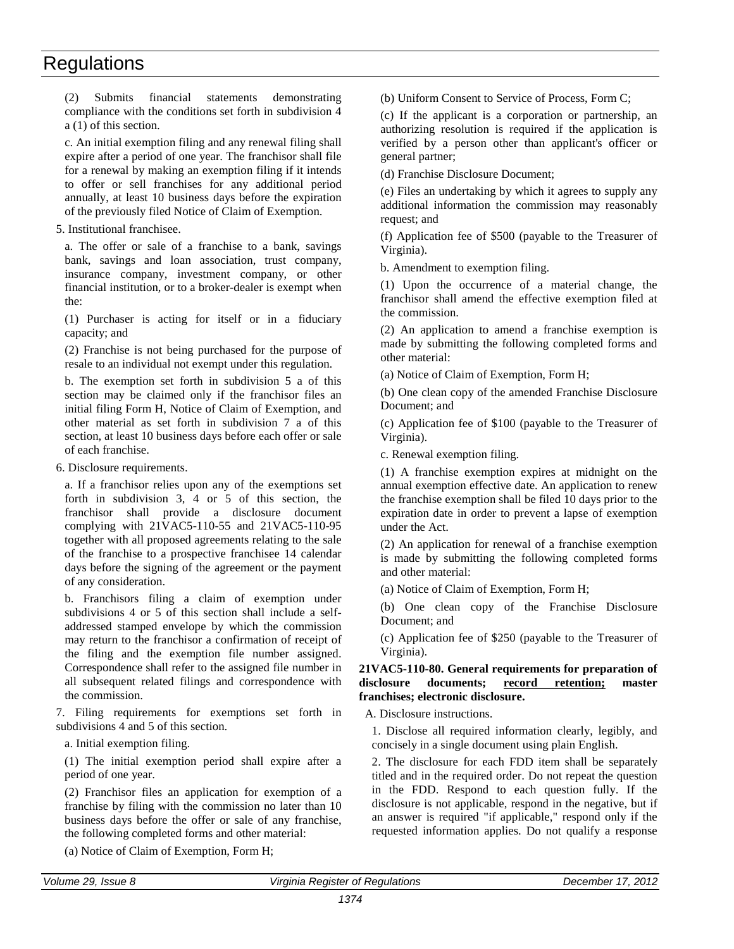(2) Submits financial statements demonstrating compliance with the conditions set forth in subdivision 4 a (1) of this section.

c. An initial exemption filing and any renewal filing shall expire after a period of one year. The franchisor shall file for a renewal by making an exemption filing if it intends to offer or sell franchises for any additional period annually, at least 10 business days before the expiration of the previously filed Notice of Claim of Exemption.

5. Institutional franchisee.

a. The offer or sale of a franchise to a bank, savings bank, savings and loan association, trust company, insurance company, investment company, or other financial institution, or to a broker-dealer is exempt when the:

(1) Purchaser is acting for itself or in a fiduciary capacity; and

(2) Franchise is not being purchased for the purpose of resale to an individual not exempt under this regulation.

b. The exemption set forth in subdivision 5 a of this section may be claimed only if the franchisor files an initial filing Form H, Notice of Claim of Exemption, and other material as set forth in subdivision 7 a of this section, at least 10 business days before each offer or sale of each franchise.

6. Disclosure requirements.

a. If a franchisor relies upon any of the exemptions set forth in subdivision 3, 4 or 5 of this section, the franchisor shall provide a disclosure document complying with 21VAC5-110-55 and 21VAC5-110-95 together with all proposed agreements relating to the sale of the franchise to a prospective franchisee 14 calendar days before the signing of the agreement or the payment of any consideration.

b. Franchisors filing a claim of exemption under subdivisions 4 or 5 of this section shall include a selfaddressed stamped envelope by which the commission may return to the franchisor a confirmation of receipt of the filing and the exemption file number assigned. Correspondence shall refer to the assigned file number in all subsequent related filings and correspondence with the commission.

7. Filing requirements for exemptions set forth in subdivisions 4 and 5 of this section.

a. Initial exemption filing.

(1) The initial exemption period shall expire after a period of one year.

(2) Franchisor files an application for exemption of a franchise by filing with the commission no later than 10 business days before the offer or sale of any franchise, the following completed forms and other material:

(a) Notice of Claim of Exemption, Form H;

(b) Uniform Consent to Service of Process, Form C;

(c) If the applicant is a corporation or partnership, an authorizing resolution is required if the application is verified by a person other than applicant's officer or general partner;

(d) Franchise Disclosure Document;

(e) Files an undertaking by which it agrees to supply any additional information the commission may reasonably request; and

(f) Application fee of \$500 (payable to the Treasurer of Virginia).

b. Amendment to exemption filing.

(1) Upon the occurrence of a material change, the franchisor shall amend the effective exemption filed at the commission.

(2) An application to amend a franchise exemption is made by submitting the following completed forms and other material:

(a) Notice of Claim of Exemption, Form H;

(b) One clean copy of the amended Franchise Disclosure Document; and

(c) Application fee of \$100 (payable to the Treasurer of Virginia).

c. Renewal exemption filing.

(1) A franchise exemption expires at midnight on the annual exemption effective date. An application to renew the franchise exemption shall be filed 10 days prior to the expiration date in order to prevent a lapse of exemption under the Act.

(2) An application for renewal of a franchise exemption is made by submitting the following completed forms and other material:

(a) Notice of Claim of Exemption, Form H;

(b) One clean copy of the Franchise Disclosure Document; and

(c) Application fee of \$250 (payable to the Treasurer of Virginia).

# **21VAC5-110-80. General requirements for preparation of disclosure documents; record retention; master franchises; electronic disclosure.**

A. Disclosure instructions.

1. Disclose all required information clearly, legibly, and concisely in a single document using plain English.

2. The disclosure for each FDD item shall be separately titled and in the required order. Do not repeat the question in the FDD. Respond to each question fully. If the disclosure is not applicable, respond in the negative, but if an answer is required "if applicable," respond only if the requested information applies. Do not qualify a response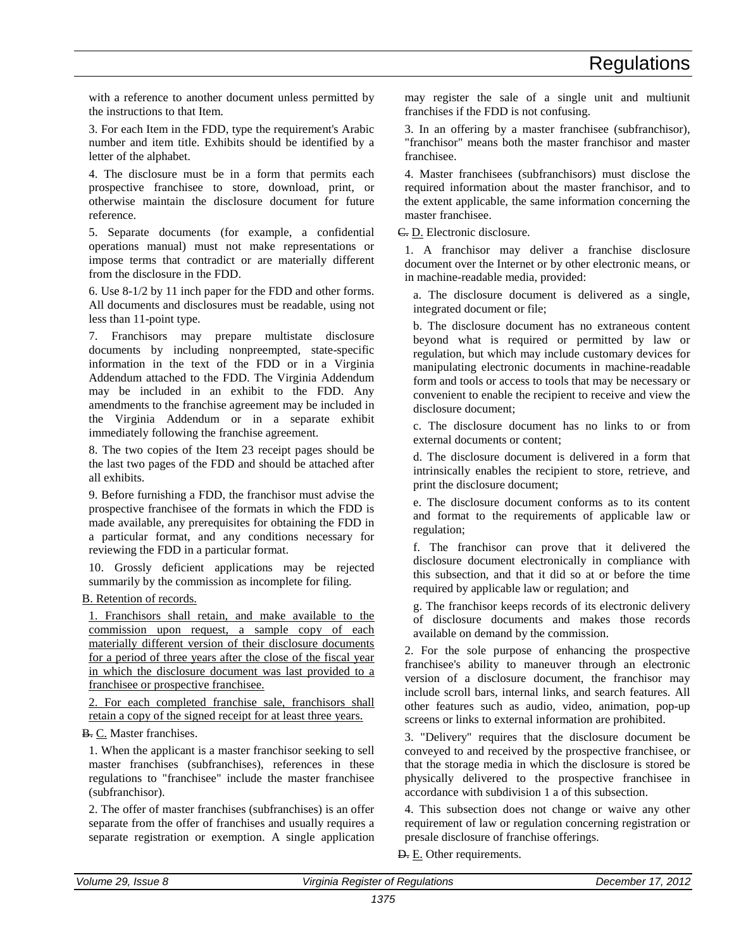with a reference to another document unless permitted by the instructions to that Item.

3. For each Item in the FDD, type the requirement's Arabic number and item title. Exhibits should be identified by a letter of the alphabet.

4. The disclosure must be in a form that permits each prospective franchisee to store, download, print, or otherwise maintain the disclosure document for future reference.

5. Separate documents (for example, a confidential operations manual) must not make representations or impose terms that contradict or are materially different from the disclosure in the FDD.

6. Use 8-1/2 by 11 inch paper for the FDD and other forms. All documents and disclosures must be readable, using not less than 11-point type.

7. Franchisors may prepare multistate disclosure documents by including nonpreempted, state-specific information in the text of the FDD or in a Virginia Addendum attached to the FDD. The Virginia Addendum may be included in an exhibit to the FDD. Any amendments to the franchise agreement may be included in the Virginia Addendum or in a separate exhibit immediately following the franchise agreement.

8. The two copies of the Item 23 receipt pages should be the last two pages of the FDD and should be attached after all exhibits.

9. Before furnishing a FDD, the franchisor must advise the prospective franchisee of the formats in which the FDD is made available, any prerequisites for obtaining the FDD in a particular format, and any conditions necessary for reviewing the FDD in a particular format.

10. Grossly deficient applications may be rejected summarily by the commission as incomplete for filing.

B. Retention of records.

1. Franchisors shall retain, and make available to the commission upon request, a sample copy of each materially different version of their disclosure documents for a period of three years after the close of the fiscal year in which the disclosure document was last provided to a franchisee or prospective franchisee.

2. For each completed franchise sale, franchisors shall retain a copy of the signed receipt for at least three years.

B. C. Master franchises.

1. When the applicant is a master franchisor seeking to sell master franchises (subfranchises), references in these regulations to "franchisee" include the master franchisee (subfranchisor).

2. The offer of master franchises (subfranchises) is an offer separate from the offer of franchises and usually requires a separate registration or exemption. A single application may register the sale of a single unit and multiunit franchises if the FDD is not confusing.

3. In an offering by a master franchisee (subfranchisor), "franchisor" means both the master franchisor and master franchisee.

4. Master franchisees (subfranchisors) must disclose the required information about the master franchisor, and to the extent applicable, the same information concerning the master franchisee.

C. D. Electronic disclosure.

1. A franchisor may deliver a franchise disclosure document over the Internet or by other electronic means, or in machine-readable media, provided:

a. The disclosure document is delivered as a single, integrated document or file;

b. The disclosure document has no extraneous content beyond what is required or permitted by law or regulation, but which may include customary devices for manipulating electronic documents in machine-readable form and tools or access to tools that may be necessary or convenient to enable the recipient to receive and view the disclosure document;

c. The disclosure document has no links to or from external documents or content;

d. The disclosure document is delivered in a form that intrinsically enables the recipient to store, retrieve, and print the disclosure document;

e. The disclosure document conforms as to its content and format to the requirements of applicable law or regulation;

f. The franchisor can prove that it delivered the disclosure document electronically in compliance with this subsection, and that it did so at or before the time required by applicable law or regulation; and

g. The franchisor keeps records of its electronic delivery of disclosure documents and makes those records available on demand by the commission.

2. For the sole purpose of enhancing the prospective franchisee's ability to maneuver through an electronic version of a disclosure document, the franchisor may include scroll bars, internal links, and search features. All other features such as audio, video, animation, pop-up screens or links to external information are prohibited.

3. "Delivery" requires that the disclosure document be conveyed to and received by the prospective franchisee, or that the storage media in which the disclosure is stored be physically delivered to the prospective franchisee in accordance with subdivision 1 a of this subsection.

4. This subsection does not change or waive any other requirement of law or regulation concerning registration or presale disclosure of franchise offerings.

D. E. Other requirements.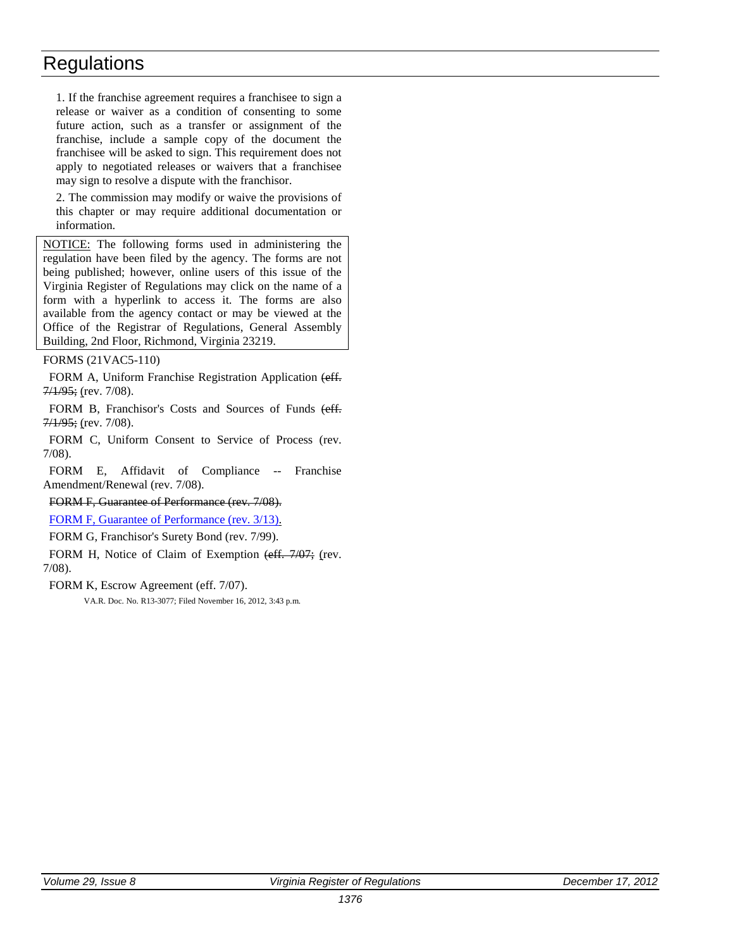1. If the franchise agreement requires a franchisee to sign a release or waiver as a condition of consenting to some future action, such as a transfer or assignment of the franchise, include a sample copy of the document the franchisee will be asked to sign. This requirement does not apply to negotiated releases or waivers that a franchisee may sign to resolve a dispute with the franchisor.

2. The commission may modify or waive the provisions of this chapter or may require additional documentation or information.

NOTICE: The following forms used in administering the regulation have been filed by the agency. The forms are not being published; however, online users of this issue of the Virginia Register of Regulations may click on the name of a form with a hyperlink to access it. The forms are also available from the agency contact or may be viewed at the Office of the Registrar of Regulations, General Assembly Building, 2nd Floor, Richmond, Virginia 23219.

# FORMS (21VAC5-110)

FORM A, Uniform Franchise Registration Application (eff.  $7/1/95$ ; (rev. 7/08).

FORM B, Franchisor's Costs and Sources of Funds (eff.  $7/1/95$ ; (rev.  $7/08$ ).

FORM C, Uniform Consent to Service of Process (rev. 7/08).

FORM E, Affidavit of Compliance -- Franchise Amendment/Renewal (rev. 7/08).

# FORM F, Guarantee of Performance (rev. 7/08).

FORM [F, Guarantee of Performance \(rev. 3/13\).](http://leg5.state.va.us/reg_agent/frmView.aspx?Viewid=ee17d003077~2&typ=40&actno=003077&mime=application/pdf)

FORM G, Franchisor's Surety Bond (rev. 7/99).

FORM H, Notice of Claim of Exemption (eff. 7/07; (rev. 7/08).

# FORM K, Escrow Agreement (eff. 7/07).

VA.R. Doc. No. R13-3077; Filed November 16, 2012, 3:43 p.m.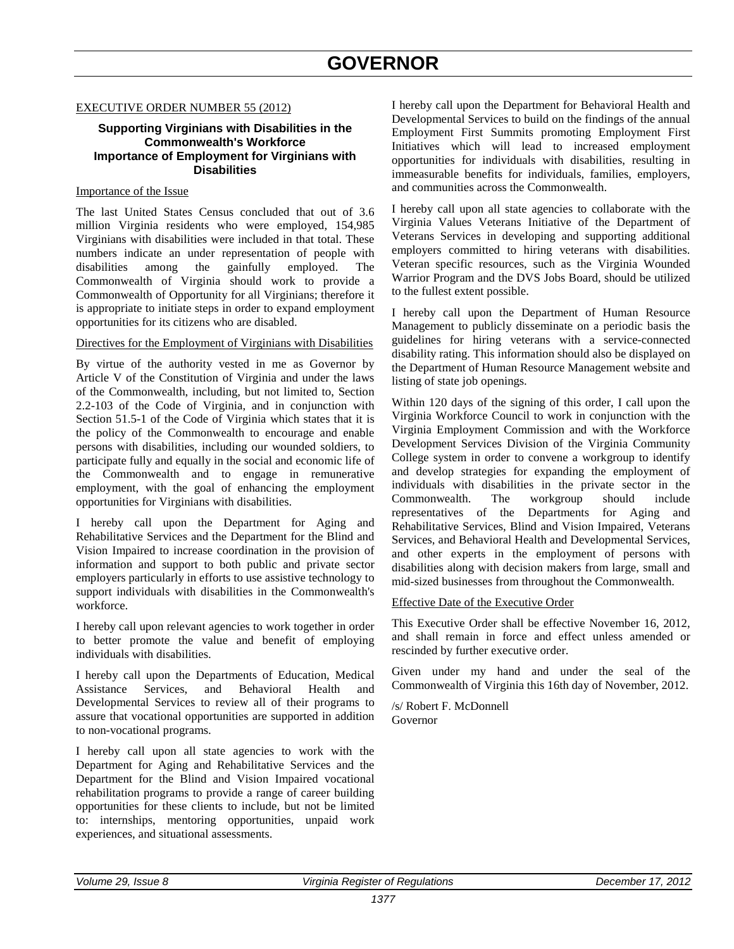# **GOVERNOR**

### <span id="page-24-0"></span>EXECUTIVE ORDER NUMBER 55 (2012)

# **Supporting Virginians with Disabilities in the Commonwealth's Workforce Importance of Employment for Virginians with Disabilities**

# Importance of the Issue

The last United States Census concluded that out of 3.6 million Virginia residents who were employed, 154,985 Virginians with disabilities were included in that total. These numbers indicate an under representation of people with disabilities among the gainfully employed. The Commonwealth of Virginia should work to provide a Commonwealth of Opportunity for all Virginians; therefore it is appropriate to initiate steps in order to expand employment opportunities for its citizens who are disabled.

# Directives for the Employment of Virginians with Disabilities

By virtue of the authority vested in me as Governor by Article V of the Constitution of Virginia and under the laws of the Commonwealth, including, but not limited to, Section 2.2-103 of the Code of Virginia, and in conjunction with Section 51.5-1 of the Code of Virginia which states that it is the policy of the Commonwealth to encourage and enable persons with disabilities, including our wounded soldiers, to participate fully and equally in the social and economic life of the Commonwealth and to engage in remunerative employment, with the goal of enhancing the employment opportunities for Virginians with disabilities.

I hereby call upon the Department for Aging and Rehabilitative Services and the Department for the Blind and Vision Impaired to increase coordination in the provision of information and support to both public and private sector employers particularly in efforts to use assistive technology to support individuals with disabilities in the Commonwealth's workforce.

I hereby call upon relevant agencies to work together in order to better promote the value and benefit of employing individuals with disabilities.

I hereby call upon the Departments of Education, Medical Assistance Services, and Behavioral Health and Developmental Services to review all of their programs to assure that vocational opportunities are supported in addition to non-vocational programs.

I hereby call upon all state agencies to work with the Department for Aging and Rehabilitative Services and the Department for the Blind and Vision Impaired vocational rehabilitation programs to provide a range of career building opportunities for these clients to include, but not be limited to: internships, mentoring opportunities, unpaid work experiences, and situational assessments.

I hereby call upon the Department for Behavioral Health and Developmental Services to build on the findings of the annual Employment First Summits promoting Employment First Initiatives which will lead to increased employment opportunities for individuals with disabilities, resulting in immeasurable benefits for individuals, families, employers, and communities across the Commonwealth.

I hereby call upon all state agencies to collaborate with the Virginia Values Veterans Initiative of the Department of Veterans Services in developing and supporting additional employers committed to hiring veterans with disabilities. Veteran specific resources, such as the Virginia Wounded Warrior Program and the DVS Jobs Board, should be utilized to the fullest extent possible.

I hereby call upon the Department of Human Resource Management to publicly disseminate on a periodic basis the guidelines for hiring veterans with a service-connected disability rating. This information should also be displayed on the Department of Human Resource Management website and listing of state job openings.

Within 120 days of the signing of this order, I call upon the Virginia Workforce Council to work in conjunction with the Virginia Employment Commission and with the Workforce Development Services Division of the Virginia Community College system in order to convene a workgroup to identify and develop strategies for expanding the employment of individuals with disabilities in the private sector in the Commonwealth. The workgroup should include representatives of the Departments for Aging and Rehabilitative Services, Blind and Vision Impaired, Veterans Services, and Behavioral Health and Developmental Services, and other experts in the employment of persons with disabilities along with decision makers from large, small and mid-sized businesses from throughout the Commonwealth.

# Effective Date of the Executive Order

This Executive Order shall be effective November 16, 2012, and shall remain in force and effect unless amended or rescinded by further executive order.

Given under my hand and under the seal of the Commonwealth of Virginia this 16th day of November, 2012.

/s/ Robert F. McDonnell Governor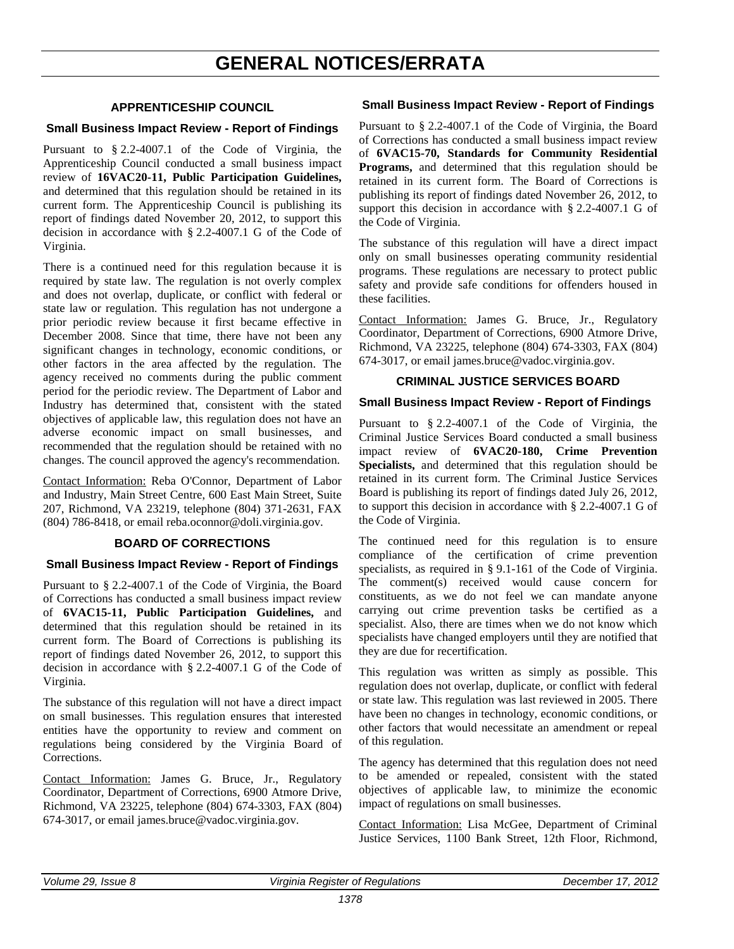# **APPRENTICESHIP COUNCIL**

# <span id="page-25-0"></span>**Small Business Impact Review - Report of Findings**

Pursuant to § 2.2-4007.1 of the Code of Virginia, the Apprenticeship Council conducted a small business impact review of **16VAC20-11, Public Participation Guidelines,** and determined that this regulation should be retained in its current form. The Apprenticeship Council is publishing its report of findings dated November 20, 2012, to support this decision in accordance with § 2.2-4007.1 G of the Code of Virginia.

There is a continued need for this regulation because it is required by state law. The regulation is not overly complex and does not overlap, duplicate, or conflict with federal or state law or regulation. This regulation has not undergone a prior periodic review because it first became effective in December 2008. Since that time, there have not been any significant changes in technology, economic conditions, or other factors in the area affected by the regulation. The agency received no comments during the public comment period for the periodic review. The Department of Labor and Industry has determined that, consistent with the stated objectives of applicable law, this regulation does not have an adverse economic impact on small businesses, and recommended that the regulation should be retained with no changes. The council approved the agency's recommendation.

Contact Information: Reba O'Connor, Department of Labor and Industry, Main Street Centre, 600 East Main Street, Suite 207, Richmond, VA 23219, telephone (804) 371-2631, FAX (804) 786-8418, or email reba.oconnor@doli.virginia.gov.

# **BOARD OF CORRECTIONS**

# **Small Business Impact Review - Report of Findings**

Pursuant to § 2.2-4007.1 of the Code of Virginia, the Board of Corrections has conducted a small business impact review of **6VAC15-11, Public Participation Guidelines,** and determined that this regulation should be retained in its current form. The Board of Corrections is publishing its report of findings dated November 26, 2012, to support this decision in accordance with § 2.2-4007.1 G of the Code of Virginia.

The substance of this regulation will not have a direct impact on small businesses. This regulation ensures that interested entities have the opportunity to review and comment on regulations being considered by the Virginia Board of Corrections.

Contact Information: James G. Bruce, Jr., Regulatory Coordinator, Department of Corrections, 6900 Atmore Drive, Richmond, VA 23225, telephone (804) 674-3303, FAX (804) 674-3017, or email james.bruce@vadoc.virginia.gov.

# **Small Business Impact Review - Report of Findings**

Pursuant to § 2.2-4007.1 of the Code of Virginia, the Board of Corrections has conducted a small business impact review of **6VAC15-70, Standards for Community Residential Programs,** and determined that this regulation should be retained in its current form. The Board of Corrections is publishing its report of findings dated November 26, 2012, to support this decision in accordance with § 2.2-4007.1 G of the Code of Virginia.

The substance of this regulation will have a direct impact only on small businesses operating community residential programs. These regulations are necessary to protect public safety and provide safe conditions for offenders housed in these facilities.

Contact Information: James G. Bruce, Jr., Regulatory Coordinator, Department of Corrections, 6900 Atmore Drive, Richmond, VA 23225, telephone (804) 674-3303, FAX (804) 674-3017, or email james.bruce@vadoc.virginia.gov.

# **CRIMINAL JUSTICE SERVICES BOARD**

### **Small Business Impact Review - Report of Findings**

Pursuant to § 2.2-4007.1 of the Code of Virginia, the Criminal Justice Services Board conducted a small business impact review of **6VAC20-180, Crime Prevention Specialists,** and determined that this regulation should be retained in its current form. The Criminal Justice Services Board is publishing its report of findings dated July 26, 2012, to support this decision in accordance with § 2.2-4007.1 G of the Code of Virginia.

The continued need for this regulation is to ensure compliance of the certification of crime prevention specialists, as required in § 9.1-161 of the Code of Virginia. The comment(s) received would cause concern for constituents, as we do not feel we can mandate anyone carrying out crime prevention tasks be certified as a specialist. Also, there are times when we do not know which specialists have changed employers until they are notified that they are due for recertification.

This regulation was written as simply as possible. This regulation does not overlap, duplicate, or conflict with federal or state law. This regulation was last reviewed in 2005. There have been no changes in technology, economic conditions, or other factors that would necessitate an amendment or repeal of this regulation.

The agency has determined that this regulation does not need to be amended or repealed, consistent with the stated objectives of applicable law, to minimize the economic impact of regulations on small businesses.

Contact Information: Lisa McGee, Department of Criminal Justice Services, 1100 Bank Street, 12th Floor, Richmond,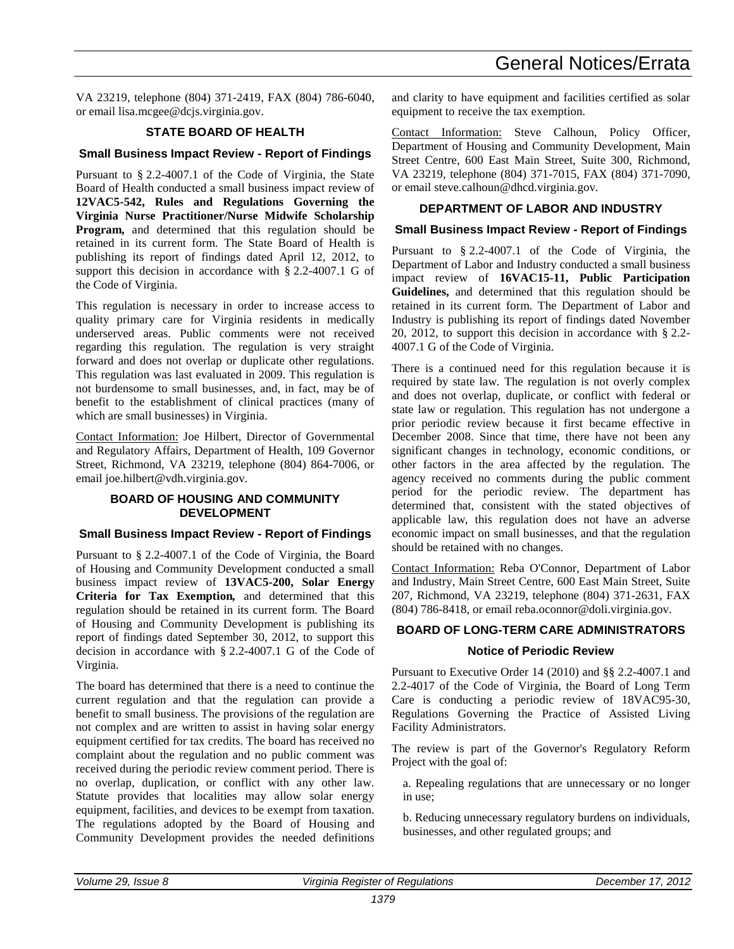VA 23219, telephone (804) 371-2419, FAX (804) 786-6040, or email lisa.mcgee@dcjs.virginia.gov.

# **STATE BOARD OF HEALTH**

# **Small Business Impact Review - Report of Findings**

Pursuant to § 2.2-4007.1 of the Code of Virginia, the State Board of Health conducted a small business impact review of **12VAC5-542, Rules and Regulations Governing the Virginia Nurse Practitioner/Nurse Midwife Scholarship Program,** and determined that this regulation should be retained in its current form. The State Board of Health is publishing its report of findings dated April 12, 2012, to support this decision in accordance with § 2.2-4007.1 G of the Code of Virginia.

This regulation is necessary in order to increase access to quality primary care for Virginia residents in medically underserved areas. Public comments were not received regarding this regulation. The regulation is very straight forward and does not overlap or duplicate other regulations. This regulation was last evaluated in 2009. This regulation is not burdensome to small businesses, and, in fact, may be of benefit to the establishment of clinical practices (many of which are small businesses) in Virginia.

Contact Information: Joe Hilbert, Director of Governmental and Regulatory Affairs, Department of Health, 109 Governor Street, Richmond, VA 23219, telephone (804) 864-7006, or email joe.hilbert@vdh.virginia.gov.

# **BOARD OF HOUSING AND COMMUNITY DEVELOPMENT**

# **Small Business Impact Review - Report of Findings**

Pursuant to § 2.2-4007.1 of the Code of Virginia, the Board of Housing and Community Development conducted a small business impact review of **13VAC5-200, Solar Energy Criteria for Tax Exemption***,* and determined that this regulation should be retained in its current form. The Board of Housing and Community Development is publishing its report of findings dated September 30, 2012, to support this decision in accordance with § 2.2-4007.1 G of the Code of Virginia.

The board has determined that there is a need to continue the current regulation and that the regulation can provide a benefit to small business. The provisions of the regulation are not complex and are written to assist in having solar energy equipment certified for tax credits. The board has received no complaint about the regulation and no public comment was received during the periodic review comment period. There is no overlap, duplication, or conflict with any other law. Statute provides that localities may allow solar energy equipment, facilities, and devices to be exempt from taxation. The regulations adopted by the Board of Housing and Community Development provides the needed definitions and clarity to have equipment and facilities certified as solar equipment to receive the tax exemption.

Contact Information: Steve Calhoun, Policy Officer, Department of Housing and Community Development, Main Street Centre, 600 East Main Street, Suite 300, Richmond, VA 23219, telephone (804) 371-7015, FAX (804) 371-7090, or email steve.calhoun@dhcd.virginia.gov.

# **DEPARTMENT OF LABOR AND INDUSTRY**

# **Small Business Impact Review - Report of Findings**

Pursuant to § 2.2-4007.1 of the Code of Virginia, the Department of Labor and Industry conducted a small business impact review of **16VAC15-11, Public Participation Guidelines,** and determined that this regulation should be retained in its current form. The Department of Labor and Industry is publishing its report of findings dated November 20, 2012, to support this decision in accordance with § 2.2- 4007.1 G of the Code of Virginia.

There is a continued need for this regulation because it is required by state law. The regulation is not overly complex and does not overlap, duplicate, or conflict with federal or state law or regulation. This regulation has not undergone a prior periodic review because it first became effective in December 2008. Since that time, there have not been any significant changes in technology, economic conditions, or other factors in the area affected by the regulation. The agency received no comments during the public comment period for the periodic review. The department has determined that, consistent with the stated objectives of applicable law, this regulation does not have an adverse economic impact on small businesses, and that the regulation should be retained with no changes.

Contact Information: Reba O'Connor, Department of Labor and Industry, Main Street Centre, 600 East Main Street, Suite 207, Richmond, VA 23219, telephone (804) 371-2631, FAX (804) 786-8418, or email reba.oconnor@doli.virginia.gov.

# **BOARD OF LONG-TERM CARE ADMINISTRATORS**

# **Notice of Periodic Review**

Pursuant to Executive Order 14 (2010) and §§ 2.2-4007.1 and 2.2-4017 of the Code of Virginia, the Board of Long Term Care is conducting a periodic review of 18VAC95-30, Regulations Governing the Practice of Assisted Living Facility Administrators.

The review is part of the Governor's Regulatory Reform Project with the goal of:

a. Repealing regulations that are unnecessary or no longer in use;

b. Reducing unnecessary regulatory burdens on individuals, businesses, and other regulated groups; and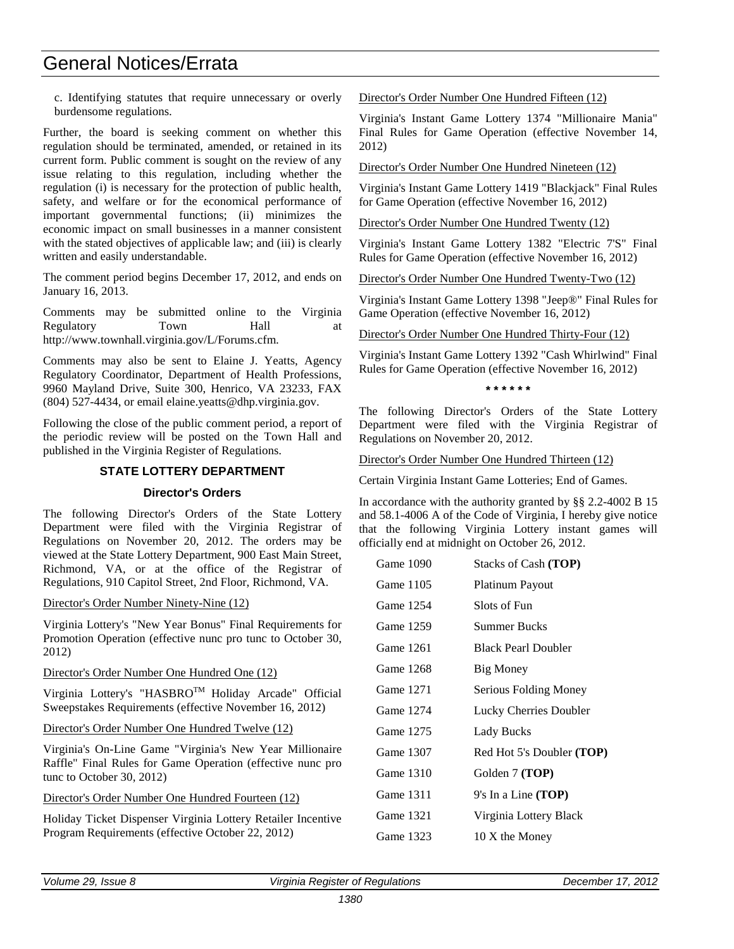# General Notices/Errata

c. Identifying statutes that require unnecessary or overly burdensome regulations.

Further, the board is seeking comment on whether this regulation should be terminated, amended, or retained in its current form. Public comment is sought on the review of any issue relating to this regulation, including whether the regulation (i) is necessary for the protection of public health, safety, and welfare or for the economical performance of important governmental functions; (ii) minimizes the economic impact on small businesses in a manner consistent with the stated objectives of applicable law; and (iii) is clearly written and easily understandable.

The comment period begins December 17, 2012, and ends on January 16, 2013.

Comments may be submitted online to the Virginia Regulatory Town Hall at [http://www.townhall.virginia.gov/L/Forums.cfm.](http://www.townhall.virginia.gov/L/Forums.cfm)

Comments may also be sent to Elaine J. Yeatts, Agency Regulatory Coordinator, Department of Health Professions, 9960 Mayland Drive, Suite 300, Henrico, VA 23233, FAX [\(804\) 527-4434,](tel:%28804%29%20527-4434) or email [elaine.yeatts@dhp.virginia.gov.](mailto:elaine.yeatts@dhp.virginia.gov)

Following the close of the public comment period, a report of the periodic review will be posted on the Town Hall and published in the Virginia Register of Regulations.

# **STATE LOTTERY DEPARTMENT**

# **Director's Orders**

The following Director's Orders of the State Lottery Department were filed with the Virginia Registrar of Regulations on November 20, 2012. The orders may be viewed at the State Lottery Department, 900 East Main Street, Richmond, VA, or at the office of the Registrar of Regulations, 910 Capitol Street, 2nd Floor, Richmond, VA.

### Director's Order Number Ninety-Nine (12)

Virginia Lottery's "New Year Bonus" Final Requirements for Promotion Operation (effective nunc pro tunc to October 30, 2012)

# Director's Order Number One Hundred One (12)

Virginia Lottery's "HASBROTM Holiday Arcade" Official Sweepstakes Requirements (effective November 16, 2012)

Director's Order Number One Hundred Twelve (12)

Virginia's On-Line Game "Virginia's New Year Millionaire Raffle" Final Rules for Game Operation (effective nunc pro tunc to October 30, 2012)

# Director's Order Number One Hundred Fourteen (12)

Holiday Ticket Dispenser Virginia Lottery Retailer Incentive Program Requirements (effective October 22, 2012)

Director's Order Number One Hundred Fifteen (12)

Virginia's Instant Game Lottery 1374 "Millionaire Mania" Final Rules for Game Operation (effective November 14, 2012)

Director's Order Number One Hundred Nineteen (12)

Virginia's Instant Game Lottery 1419 "Blackjack" Final Rules for Game Operation (effective November 16, 2012)

Director's Order Number One Hundred Twenty (12)

Virginia's Instant Game Lottery 1382 "Electric 7'S" Final Rules for Game Operation (effective November 16, 2012)

Director's Order Number One Hundred Twenty-Two (12)

Virginia's Instant Game Lottery 1398 "Jeep®" Final Rules for Game Operation (effective November 16, 2012)

Director's Order Number One Hundred Thirty-Four (12)

Virginia's Instant Game Lottery 1392 "Cash Whirlwind" Final Rules for Game Operation (effective November 16, 2012)

**\* \* \* \* \* \*** 

The following Director's Orders of the State Lottery Department were filed with the Virginia Registrar of Regulations on November 20, 2012.

# Director's Order Number One Hundred Thirteen (12)

Certain Virginia Instant Game Lotteries; End of Games.

In accordance with the authority granted by §§ 2.2-4002 B 15 and 58.1-4006 A of the Code of Virginia, I hereby give notice that the following Virginia Lottery instant games will officially end at midnight on October 26, 2012.

| Game 1090 | Stacks of Cash (TOP)       |
|-----------|----------------------------|
| Game 1105 | Platinum Payout            |
| Game 1254 | Slots of Fun               |
| Game 1259 | Summer Bucks               |
| Game 1261 | <b>Black Pearl Doubler</b> |
| Game 1268 | Big Money                  |
| Game 1271 | Serious Folding Money      |
| Game 1274 | Lucky Cherries Doubler     |
| Game 1275 | Lady Bucks                 |
| Game 1307 | Red Hot 5's Doubler (TOP)  |
| Game 1310 | Golden 7 (TOP)             |
| Game 1311 | $9's$ In a Line (TOP)      |
| Game 1321 | Virginia Lottery Black     |
| Game 1323 | 10 X the Money             |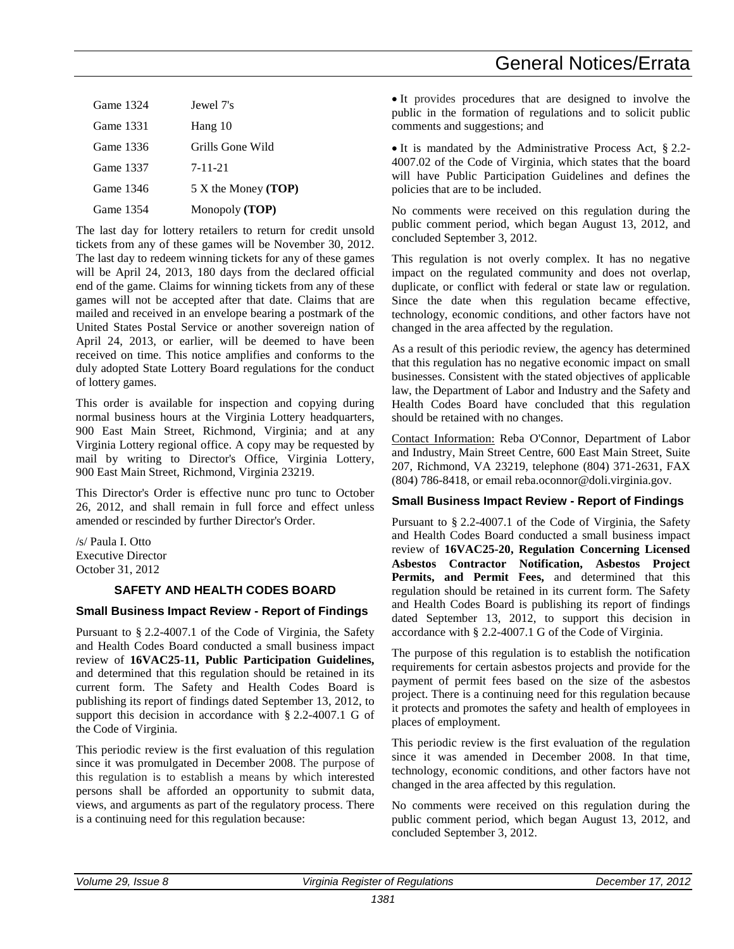# General Notices/Errata

| Game 1324 | Jewel 7's                    |
|-----------|------------------------------|
| Game 1331 | Hang 10                      |
| Game 1336 | Grills Gone Wild             |
| Game 1337 | 7-11-21                      |
| Game 1346 | 5 X the Money ( <b>TOP</b> ) |
| Game 1354 | Monopoly (TOP)               |
|           |                              |

The last day for lottery retailers to return for credit unsold tickets from any of these games will be November 30, 2012. The last day to redeem winning tickets for any of these games will be April 24, 2013, 180 days from the declared official end of the game. Claims for winning tickets from any of these games will not be accepted after that date. Claims that are mailed and received in an envelope bearing a postmark of the United States Postal Service or another sovereign nation of April 24, 2013, or earlier, will be deemed to have been received on time. This notice amplifies and conforms to the duly adopted State Lottery Board regulations for the conduct of lottery games.

This order is available for inspection and copying during normal business hours at the Virginia Lottery headquarters, 900 East Main Street, Richmond, Virginia; and at any Virginia Lottery regional office. A copy may be requested by mail by writing to Director's Office, Virginia Lottery, 900 East Main Street, Richmond, Virginia 23219.

This Director's Order is effective nunc pro tunc to October 26, 2012, and shall remain in full force and effect unless amended or rescinded by further Director's Order.

/s/ Paula I. Otto Executive Director October 31, 2012

# **SAFETY AND HEALTH CODES BOARD**

# **Small Business Impact Review - Report of Findings**

Pursuant to § 2.2-4007.1 of the Code of Virginia, the Safety and Health Codes Board conducted a small business impact review of **16VAC25-11, Public Participation Guidelines,** and determined that this regulation should be retained in its current form. The Safety and Health Codes Board is publishing its report of findings dated September 13, 2012, to support this decision in accordance with § 2.2-4007.1 G of the Code of Virginia.

This periodic review is the first evaluation of this regulation since it was promulgated in December 2008. The purpose of this regulation is to establish a means by which interested persons shall be afforded an opportunity to submit data, views, and arguments as part of the regulatory process. There is a continuing need for this regulation because:

• It provides procedures that are designed to involve the public in the formation of regulations and to solicit public comments and suggestions; and

• It is mandated by the Administrative Process Act, § 2.2- 4007.02 of the Code of Virginia, which states that the board will have Public Participation Guidelines and defines the policies that are to be included.

No comments were received on this regulation during the public comment period, which began August 13, 2012, and concluded September 3, 2012.

This regulation is not overly complex. It has no negative impact on the regulated community and does not overlap, duplicate, or conflict with federal or state law or regulation. Since the date when this regulation became effective, technology, economic conditions, and other factors have not changed in the area affected by the regulation.

As a result of this periodic review, the agency has determined that this regulation has no negative economic impact on small businesses. Consistent with the stated objectives of applicable law, the Department of Labor and Industry and the Safety and Health Codes Board have concluded that this regulation should be retained with no changes.

Contact Information: Reba O'Connor, Department of Labor and Industry, Main Street Centre, 600 East Main Street, Suite 207, Richmond, VA 23219, telephone (804) 371-2631, FAX (804) 786-8418, or email reba.oconnor@doli.virginia.gov.

# **Small Business Impact Review - Report of Findings**

Pursuant to § 2.2-4007.1 of the Code of Virginia, the Safety and Health Codes Board conducted a small business impact review of **16VAC25-20, Regulation Concerning Licensed Asbestos Contractor Notification, Asbestos Project Permits, and Permit Fees,** and determined that this regulation should be retained in its current form. The Safety and Health Codes Board is publishing its report of findings dated September 13, 2012, to support this decision in accordance with § 2.2-4007.1 G of the Code of Virginia.

The purpose of this regulation is to establish the notification requirements for certain asbestos projects and provide for the payment of permit fees based on the size of the asbestos project. There is a continuing need for this regulation because it protects and promotes the safety and health of employees in places of employment.

This periodic review is the first evaluation of the regulation since it was amended in December 2008. In that time, technology, economic conditions, and other factors have not changed in the area affected by this regulation.

No comments were received on this regulation during the public comment period, which began August 13, 2012, and concluded September 3, 2012.